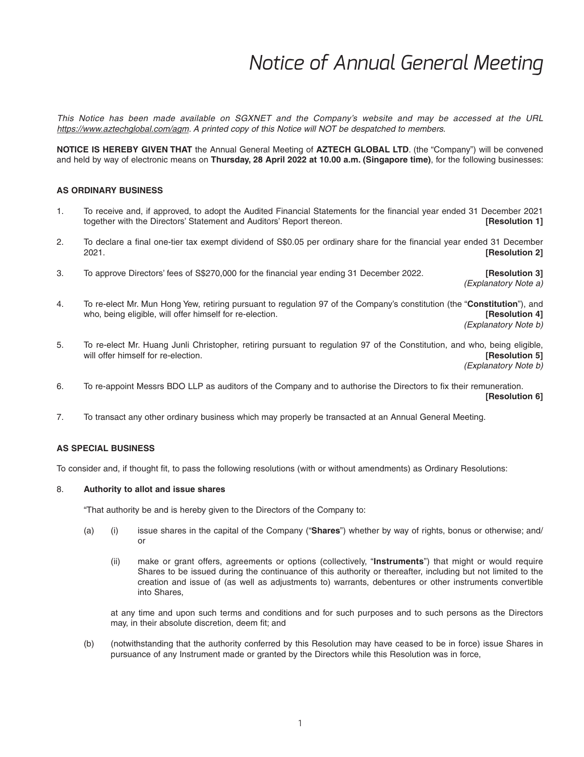*This Notice has been made available on SGXNET and the Company's website and may be accessed at the URL https://www.aztechglobal.com/agm. A printed copy of this Notice will NOT be despatched to members.*

**NOTICE IS HEREBY GIVEN THAT** the Annual General Meeting of **AZTECH GLOBAL LTD**. (the "Company") will be convened and held by way of electronic means on **Thursday, 28 April 2022 at 10.00 a.m. (Singapore time)**, for the following businesses:

### **AS ORDINARY BUSINESS**

- 1. To receive and, if approved, to adopt the Audited Financial Statements for the financial year ended 31 December 2021 together with the Directors' Statement and Auditors' Report thereon. **[Resolution 1]**
- 2. To declare a final one-tier tax exempt dividend of S\$0.05 per ordinary share for the financial year ended 31 December 2021. **[Resolution 2]**
- 3. To approve Directors' fees of S\$270,000 for the financial year ending 31 December 2022. **[Resolution 3]**

 *(Explanatory Note a)*

4. To re-elect Mr. Mun Hong Yew, retiring pursuant to regulation 97 of the Company's constitution (the "**Constitution**"), and who, being eligible, will offer himself for re-election. *image in the set of the set of the set of the set of the set of the set of the set of the set of the set of the set of the set of the set of the set of the set of* 

 *(Explanatory Note b)*

5. To re-elect Mr. Huang Junli Christopher, retiring pursuant to regulation 97 of the Constitution, and who, being eligible, will offer himself for re-election. **[Resolution 5]**

 *(Explanatory Note b)*

6. To re-appoint Messrs BDO LLP as auditors of the Company and to authorise the Directors to fix their remuneration.

 **[Resolution 6]**

7. To transact any other ordinary business which may properly be transacted at an Annual General Meeting.

### **AS SPECIAL BUSINESS**

To consider and, if thought fit, to pass the following resolutions (with or without amendments) as Ordinary Resolutions:

#### 8. **Authority to allot and issue shares**

"That authority be and is hereby given to the Directors of the Company to:

- (a) (i) issue shares in the capital of the Company ("**Shares**") whether by way of rights, bonus or otherwise; and/ or
	- (ii) make or grant offers, agreements or options (collectively, "**Instruments**") that might or would require Shares to be issued during the continuance of this authority or thereafter, including but not limited to the creation and issue of (as well as adjustments to) warrants, debentures or other instruments convertible into Shares,

 at any time and upon such terms and conditions and for such purposes and to such persons as the Directors may, in their absolute discretion, deem fit; and

 (b) (notwithstanding that the authority conferred by this Resolution may have ceased to be in force) issue Shares in pursuance of any Instrument made or granted by the Directors while this Resolution was in force,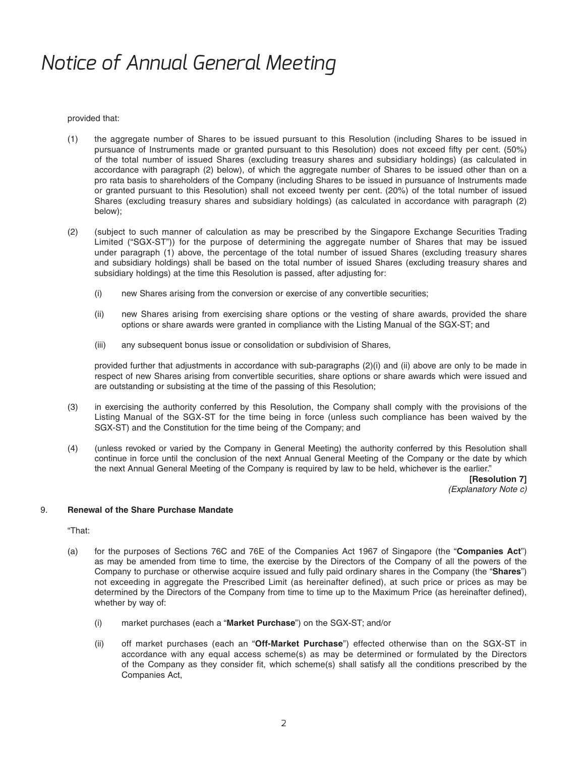provided that:

- (1) the aggregate number of Shares to be issued pursuant to this Resolution (including Shares to be issued in pursuance of Instruments made or granted pursuant to this Resolution) does not exceed fifty per cent. (50%) of the total number of issued Shares (excluding treasury shares and subsidiary holdings) (as calculated in accordance with paragraph (2) below), of which the aggregate number of Shares to be issued other than on a pro rata basis to shareholders of the Company (including Shares to be issued in pursuance of Instruments made or granted pursuant to this Resolution) shall not exceed twenty per cent. (20%) of the total number of issued Shares (excluding treasury shares and subsidiary holdings) (as calculated in accordance with paragraph (2) below);
- (2) (subject to such manner of calculation as may be prescribed by the Singapore Exchange Securities Trading Limited ("SGX-ST")) for the purpose of determining the aggregate number of Shares that may be issued under paragraph (1) above, the percentage of the total number of issued Shares (excluding treasury shares and subsidiary holdings) shall be based on the total number of issued Shares (excluding treasury shares and subsidiary holdings) at the time this Resolution is passed, after adjusting for:
	- (i) new Shares arising from the conversion or exercise of any convertible securities;
	- (ii) new Shares arising from exercising share options or the vesting of share awards, provided the share options or share awards were granted in compliance with the Listing Manual of the SGX-ST; and
	- (iii) any subsequent bonus issue or consolidation or subdivision of Shares,

 provided further that adjustments in accordance with sub-paragraphs (2)(i) and (ii) above are only to be made in respect of new Shares arising from convertible securities, share options or share awards which were issued and are outstanding or subsisting at the time of the passing of this Resolution;

- (3) in exercising the authority conferred by this Resolution, the Company shall comply with the provisions of the Listing Manual of the SGX-ST for the time being in force (unless such compliance has been waived by the SGX-ST) and the Constitution for the time being of the Company; and
- (4) (unless revoked or varied by the Company in General Meeting) the authority conferred by this Resolution shall continue in force until the conclusion of the next Annual General Meeting of the Company or the date by which the next Annual General Meeting of the Company is required by law to be held, whichever is the earlier."

 **[Resolution 7]**  *(Explanatory Note c)*

### 9. **Renewal of the Share Purchase Mandate**

"That:

- (a) for the purposes of Sections 76C and 76E of the Companies Act 1967 of Singapore (the "**Companies Act**") as may be amended from time to time, the exercise by the Directors of the Company of all the powers of the Company to purchase or otherwise acquire issued and fully paid ordinary shares in the Company (the "**Shares**") not exceeding in aggregate the Prescribed Limit (as hereinafter defined), at such price or prices as may be determined by the Directors of the Company from time to time up to the Maximum Price (as hereinafter defined), whether by way of:
	- (i) market purchases (each a "**Market Purchase**") on the SGX-ST; and/or
	- (ii) off market purchases (each an "**Off-Market Purchase**") effected otherwise than on the SGX-ST in accordance with any equal access scheme(s) as may be determined or formulated by the Directors of the Company as they consider fit, which scheme(s) shall satisfy all the conditions prescribed by the Companies Act,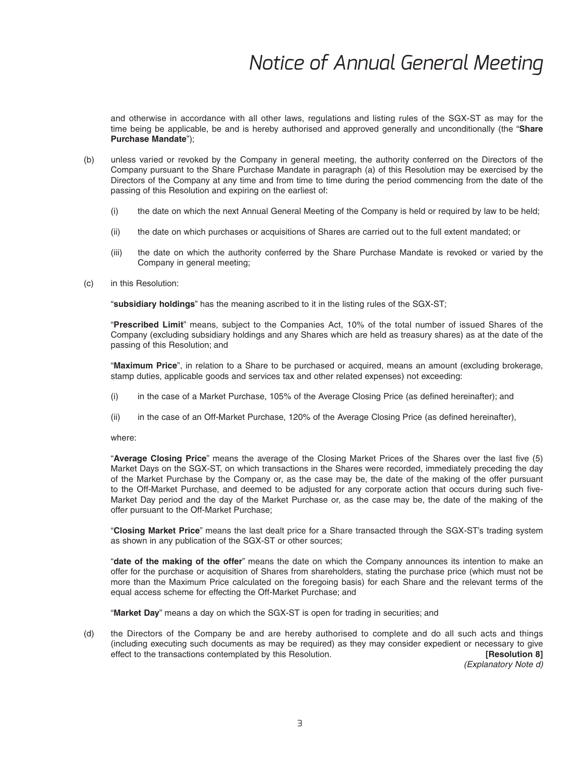and otherwise in accordance with all other laws, regulations and listing rules of the SGX-ST as may for the time being be applicable, be and is hereby authorised and approved generally and unconditionally (the "**Share Purchase Mandate**");

- (b) unless varied or revoked by the Company in general meeting, the authority conferred on the Directors of the Company pursuant to the Share Purchase Mandate in paragraph (a) of this Resolution may be exercised by the Directors of the Company at any time and from time to time during the period commencing from the date of the passing of this Resolution and expiring on the earliest of:
	- (i) the date on which the next Annual General Meeting of the Company is held or required by law to be held;
	- (ii) the date on which purchases or acquisitions of Shares are carried out to the full extent mandated; or
	- (iii) the date on which the authority conferred by the Share Purchase Mandate is revoked or varied by the Company in general meeting;
- (c) in this Resolution:

"**subsidiary holdings**" has the meaning ascribed to it in the listing rules of the SGX-ST;

 "**Prescribed Limit**" means, subject to the Companies Act, 10% of the total number of issued Shares of the Company (excluding subsidiary holdings and any Shares which are held as treasury shares) as at the date of the passing of this Resolution; and

 "**Maximum Price**", in relation to a Share to be purchased or acquired, means an amount (excluding brokerage, stamp duties, applicable goods and services tax and other related expenses) not exceeding:

- (i) in the case of a Market Purchase, 105% of the Average Closing Price (as defined hereinafter); and
- (ii) in the case of an Off-Market Purchase, 120% of the Average Closing Price (as defined hereinafter),

where:

"Average Closing Price" means the average of the Closing Market Prices of the Shares over the last five (5) Market Days on the SGX-ST, on which transactions in the Shares were recorded, immediately preceding the day of the Market Purchase by the Company or, as the case may be, the date of the making of the offer pursuant to the Off-Market Purchase, and deemed to be adjusted for any corporate action that occurs during such five-Market Day period and the day of the Market Purchase or, as the case may be, the date of the making of the offer pursuant to the Off-Market Purchase;

 "**Closing Market Price**" means the last dealt price for a Share transacted through the SGX-ST's trading system as shown in any publication of the SGX-ST or other sources;

 "**date of the making of the offer**" means the date on which the Company announces its intention to make an offer for the purchase or acquisition of Shares from shareholders, stating the purchase price (which must not be more than the Maximum Price calculated on the foregoing basis) for each Share and the relevant terms of the equal access scheme for effecting the Off-Market Purchase; and

"**Market Day**" means a day on which the SGX-ST is open for trading in securities; and

 (d) the Directors of the Company be and are hereby authorised to complete and do all such acts and things (including executing such documents as may be required) as they may consider expedient or necessary to give effect to the transactions contemplated by this Resolution. *IRESOLUTION* **[Resolution 8]** 

 *(Explanatory Note d)*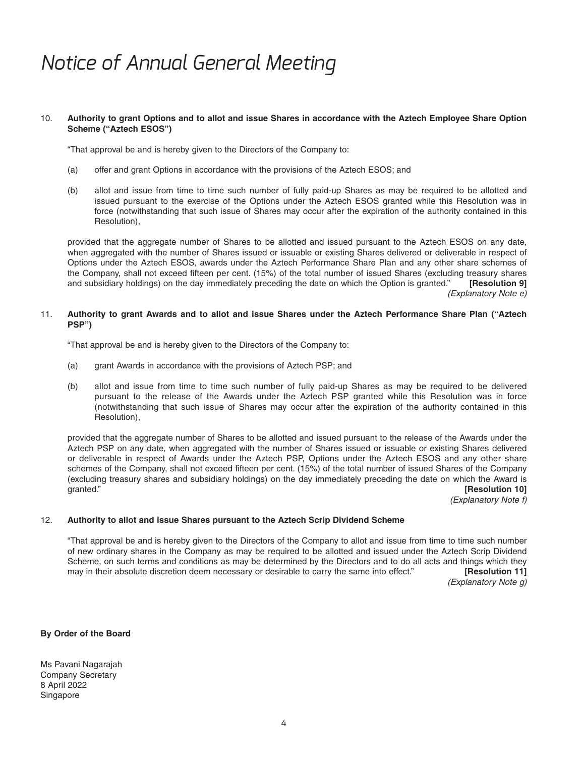#### 10. **Authority to grant Options and to allot and issue Shares in accordance with the Aztech Employee Share Option Scheme ("Aztech ESOS")**

"That approval be and is hereby given to the Directors of the Company to:

- (a) offer and grant Options in accordance with the provisions of the Aztech ESOS; and
- (b) allot and issue from time to time such number of fully paid-up Shares as may be required to be allotted and issued pursuant to the exercise of the Options under the Aztech ESOS granted while this Resolution was in force (notwithstanding that such issue of Shares may occur after the expiration of the authority contained in this Resolution),

 provided that the aggregate number of Shares to be allotted and issued pursuant to the Aztech ESOS on any date, when aggregated with the number of Shares issued or issuable or existing Shares delivered or deliverable in respect of Options under the Aztech ESOS, awards under the Aztech Performance Share Plan and any other share schemes of the Company, shall not exceed fifteen per cent. (15%) of the total number of issued Shares (excluding treasury shares and subsidiary holdings) on the day immediately preceding the date on which the Option is granted." [Res and subsidiary holdings) on the day immediately preceding the date on which the Option is granted."  *(Explanatory Note e)*

#### 11. **Authority to grant Awards and to allot and issue Shares under the Aztech Performance Share Plan ("Aztech PSP")**

"That approval be and is hereby given to the Directors of the Company to:

- (a) grant Awards in accordance with the provisions of Aztech PSP; and
- (b) allot and issue from time to time such number of fully paid-up Shares as may be required to be delivered pursuant to the release of the Awards under the Aztech PSP granted while this Resolution was in force (notwithstanding that such issue of Shares may occur after the expiration of the authority contained in this Resolution),

 provided that the aggregate number of Shares to be allotted and issued pursuant to the release of the Awards under the Aztech PSP on any date, when aggregated with the number of Shares issued or issuable or existing Shares delivered or deliverable in respect of Awards under the Aztech PSP, Options under the Aztech ESOS and any other share schemes of the Company, shall not exceed fifteen per cent. (15%) of the total number of issued Shares of the Company (excluding treasury shares and subsidiary holdings) on the day immediately preceding the date on which the Award is granted." **[Resolution 10]**

 *(Explanatory Note f)*

### 12. **Authority to allot and issue Shares pursuant to the Aztech Scrip Dividend Scheme**

 "That approval be and is hereby given to the Directors of the Company to allot and issue from time to time such number of new ordinary shares in the Company as may be required to be allotted and issued under the Aztech Scrip Dividend Scheme, on such terms and conditions as may be determined by the Directors and to do all acts and things which they may in their absolute discretion deem necessary or desirable to carry the same into effect." **[Resolution 11]**  *(Explanatory Note g)*

#### **By Order of the Board**

Ms Pavani Nagarajah Company Secretary 8 April 2022 Singapore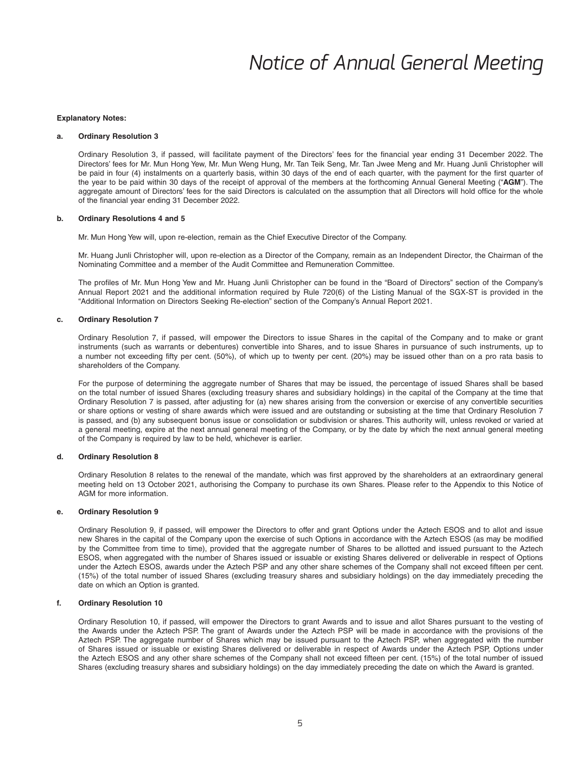#### **Explanatory Notes:**

#### **a. Ordinary Resolution 3**

Ordinary Resolution 3, if passed, will facilitate payment of the Directors' fees for the financial year ending 31 December 2022. The Directors' fees for Mr. Mun Hong Yew, Mr. Mun Weng Hung, Mr. Tan Teik Seng, Mr. Tan Jwee Meng and Mr. Huang Junli Christopher will be paid in four (4) instalments on a quarterly basis, within 30 days of the end of each quarter, with the payment for the first quarter of the year to be paid within 30 days of the receipt of approval of the members at the forthcoming Annual General Meeting ("**AGM**"). The aggregate amount of Directors' fees for the said Directors is calculated on the assumption that all Directors will hold office for the whole of the financial year ending 31 December 2022.

#### **b. Ordinary Resolutions 4 and 5**

Mr. Mun Hong Yew will, upon re-election, remain as the Chief Executive Director of the Company.

 Mr. Huang Junli Christopher will, upon re-election as a Director of the Company, remain as an Independent Director, the Chairman of the Nominating Committee and a member of the Audit Committee and Remuneration Committee.

The profiles of Mr. Mun Hong Yew and Mr. Huang Junli Christopher can be found in the "Board of Directors" section of the Company's Annual Report 2021 and the additional information required by Rule 720(6) of the Listing Manual of the SGX-ST is provided in the "Additional Information on Directors Seeking Re-election" section of the Company's Annual Report 2021.

#### **c. Ordinary Resolution 7**

 Ordinary Resolution 7, if passed, will empower the Directors to issue Shares in the capital of the Company and to make or grant instruments (such as warrants or debentures) convertible into Shares, and to issue Shares in pursuance of such instruments, up to a number not exceeding fifty per cent. (50%), of which up to twenty per cent. (20%) may be issued other than on a pro rata basis to shareholders of the Company.

 For the purpose of determining the aggregate number of Shares that may be issued, the percentage of issued Shares shall be based on the total number of issued Shares (excluding treasury shares and subsidiary holdings) in the capital of the Company at the time that Ordinary Resolution 7 is passed, after adjusting for (a) new shares arising from the conversion or exercise of any convertible securities or share options or vesting of share awards which were issued and are outstanding or subsisting at the time that Ordinary Resolution 7 is passed, and (b) any subsequent bonus issue or consolidation or subdivision or shares. This authority will, unless revoked or varied at a general meeting, expire at the next annual general meeting of the Company, or by the date by which the next annual general meeting of the Company is required by law to be held, whichever is earlier.

#### **d. Ordinary Resolution 8**

Ordinary Resolution 8 relates to the renewal of the mandate, which was first approved by the shareholders at an extraordinary general meeting held on 13 October 2021, authorising the Company to purchase its own Shares. Please refer to the Appendix to this Notice of AGM for more information.

#### **e. Ordinary Resolution 9**

 Ordinary Resolution 9, if passed, will empower the Directors to offer and grant Options under the Aztech ESOS and to allot and issue new Shares in the capital of the Company upon the exercise of such Options in accordance with the Aztech ESOS (as may be modified by the Committee from time to time), provided that the aggregate number of Shares to be allotted and issued pursuant to the Aztech ESOS, when aggregated with the number of Shares issued or issuable or existing Shares delivered or deliverable in respect of Options under the Aztech ESOS, awards under the Aztech PSP and any other share schemes of the Company shall not exceed fifteen per cent. (15%) of the total number of issued Shares (excluding treasury shares and subsidiary holdings) on the day immediately preceding the date on which an Option is granted.

#### **f. Ordinary Resolution 10**

 Ordinary Resolution 10, if passed, will empower the Directors to grant Awards and to issue and allot Shares pursuant to the vesting of the Awards under the Aztech PSP. The grant of Awards under the Aztech PSP will be made in accordance with the provisions of the Aztech PSP. The aggregate number of Shares which may be issued pursuant to the Aztech PSP, when aggregated with the number of Shares issued or issuable or existing Shares delivered or deliverable in respect of Awards under the Aztech PSP, Options under the Aztech ESOS and any other share schemes of the Company shall not exceed fifteen per cent. (15%) of the total number of issued Shares (excluding treasury shares and subsidiary holdings) on the day immediately preceding the date on which the Award is granted.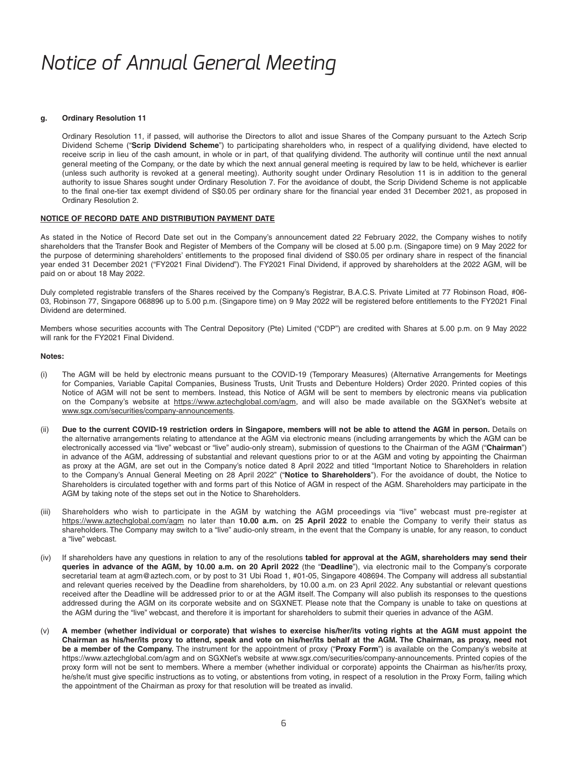#### **g. Ordinary Resolution 11**

 Ordinary Resolution 11, if passed, will authorise the Directors to allot and issue Shares of the Company pursuant to the Aztech Scrip Dividend Scheme ("**Scrip Dividend Scheme**") to participating shareholders who, in respect of a qualifying dividend, have elected to receive scrip in lieu of the cash amount, in whole or in part, of that qualifying dividend. The authority will continue until the next annual general meeting of the Company, or the date by which the next annual general meeting is required by law to be held, whichever is earlier (unless such authority is revoked at a general meeting). Authority sought under Ordinary Resolution 11 is in addition to the general authority to issue Shares sought under Ordinary Resolution 7. For the avoidance of doubt, the Scrip Dividend Scheme is not applicable to the final one-tier tax exempt dividend of S\$0.05 per ordinary share for the financial year ended 31 December 2021, as proposed in Ordinary Resolution 2.

#### **NOTICE OF RECORD DATE AND DISTRIBUTION PAYMENT DATE**

As stated in the Notice of Record Date set out in the Company's announcement dated 22 February 2022, the Company wishes to notify shareholders that the Transfer Book and Register of Members of the Company will be closed at 5.00 p.m. (Singapore time) on 9 May 2022 for the purpose of determining shareholders' entitlements to the proposed final dividend of S\$0.05 per ordinary share in respect of the financial year ended 31 December 2021 ("FY2021 Final Dividend"). The FY2021 Final Dividend, if approved by shareholders at the 2022 AGM, will be paid on or about 18 May 2022.

Duly completed registrable transfers of the Shares received by the Company's Registrar, B.A.C.S. Private Limited at 77 Robinson Road, #06- 03, Robinson 77, Singapore 068896 up to 5.00 p.m. (Singapore time) on 9 May 2022 will be registered before entitlements to the FY2021 Final Dividend are determined.

Members whose securities accounts with The Central Depository (Pte) Limited ("CDP") are credited with Shares at 5.00 p.m. on 9 May 2022 will rank for the FY2021 Final Dividend.

#### **Notes:**

- (i) The AGM will be held by electronic means pursuant to the COVID-19 (Temporary Measures) (Alternative Arrangements for Meetings for Companies, Variable Capital Companies, Business Trusts, Unit Trusts and Debenture Holders) Order 2020. Printed copies of this Notice of AGM will not be sent to members. Instead, this Notice of AGM will be sent to members by electronic means via publication on the Company's website at https://www.aztechglobal.com/agm, and will also be made available on the SGXNet's website at www.sgx.com/securities/company-announcements.
- (ii) Due to the current COVID-19 restriction orders in Singapore, members will not be able to attend the AGM in person. Details on the alternative arrangements relating to attendance at the AGM via electronic means (including arrangements by which the AGM can be electronically accessed via "live" webcast or "live" audio-only stream), submission of questions to the Chairman of the AGM ("**Chairman**") in advance of the AGM, addressing of substantial and relevant questions prior to or at the AGM and voting by appointing the Chairman as proxy at the AGM, are set out in the Company's notice dated 8 April 2022 and titled "Important Notice to Shareholders in relation to the Company's Annual General Meeting on 28 April 2022" ("**Notice to Shareholders**"). For the avoidance of doubt, the Notice to Shareholders is circulated together with and forms part of this Notice of AGM in respect of the AGM. Shareholders may participate in the AGM by taking note of the steps set out in the Notice to Shareholders.
- (iii) Shareholders who wish to participate in the AGM by watching the AGM proceedings via "live" webcast must pre-register at https://www.aztechglobal.com/agm no later than 10.00 a.m. on 25 April 2022 to enable the Company to verify their status as shareholders. The Company may switch to a "live" audio-only stream, in the event that the Company is unable, for any reason, to conduct a "live" webcast.
- (iv) If shareholders have any questions in relation to any of the resolutions **tabled for approval at the AGM, shareholders may send their queries in advance of the AGM, by 10.00 a.m. on 20 April 2022** (the "**Deadline**"), via electronic mail to the Company's corporate secretarial team at agm@aztech.com, or by post to 31 Ubi Road 1, #01-05, Singapore 408694. The Company will address all substantial and relevant queries received by the Deadline from shareholders, by 10.00 a.m. on 23 April 2022. Any substantial or relevant questions received after the Deadline will be addressed prior to or at the AGM itself. The Company will also publish its responses to the questions addressed during the AGM on its corporate website and on SGXNET. Please note that the Company is unable to take on questions at the AGM during the "live" webcast, and therefore it is important for shareholders to submit their queries in advance of the AGM.
- (v) **A member (whether individual or corporate) that wishes to exercise his/her/its voting rights at the AGM must appoint the Chairman as his/her/its proxy to attend, speak and vote on his/her/its behalf at the AGM. The Chairman, as proxy, need not be a member of the Company.** The instrument for the appointment of proxy ("**Proxy Form**") is available on the Company's website at https://www.aztechglobal.com/agm and on SGXNet's website at www.sgx.com/securities/company-announcements. Printed copies of the proxy form will not be sent to members. Where a member (whether individual or corporate) appoints the Chairman as his/her/its proxy, he/she/it must give specific instructions as to voting, or abstentions from voting, in respect of a resolution in the Proxy Form, failing which the appointment of the Chairman as proxy for that resolution will be treated as invalid.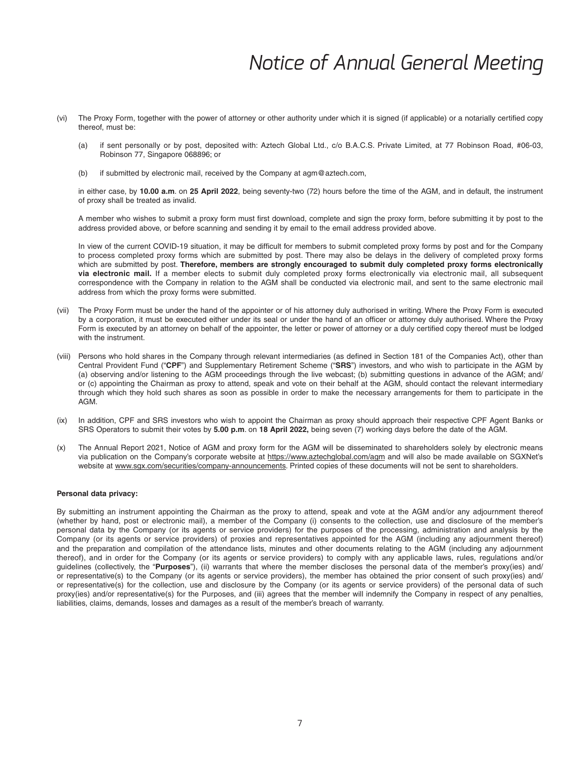- (vi) The Proxy Form, together with the power of attorney or other authority under which it is signed (if applicable) or a notarially certified copy thereof, must be:
	- (a) if sent personally or by post, deposited with: Aztech Global Ltd., c/o B.A.C.S. Private Limited, at 77 Robinson Road, #06-03, Robinson 77, Singapore 068896; or
	- (b) if submitted by electronic mail, received by the Company at agm@aztech.com,

in either case, by 10.00 a.m. on 25 April 2022, being seventy-two (72) hours before the time of the AGM, and in default, the instrument of proxy shall be treated as invalid.

A member who wishes to submit a proxy form must first download, complete and sign the proxy form, before submitting it by post to the address provided above, or before scanning and sending it by email to the email address provided above.

In view of the current COVID-19 situation, it may be difficult for members to submit completed proxy forms by post and for the Company to process completed proxy forms which are submitted by post. There may also be delays in the delivery of completed proxy forms which are submitted by post. **Therefore, members are strongly encouraged to submit duly completed proxy forms electronically**  via electronic mail. If a member elects to submit duly completed proxy forms electronically via electronic mail, all subsequent correspondence with the Company in relation to the AGM shall be conducted via electronic mail, and sent to the same electronic mail address from which the proxy forms were submitted.

- (vii) The Proxy Form must be under the hand of the appointer or of his attorney duly authorised in writing. Where the Proxy Form is executed by a corporation, it must be executed either under its seal or under the hand of an officer or attorney duly authorised. Where the Proxy Form is executed by an attorney on behalf of the appointer, the letter or power of attorney or a duly certified copy thereof must be lodged with the instrument.
- (viii) Persons who hold shares in the Company through relevant intermediaries (as defined in Section 181 of the Companies Act), other than Central Provident Fund ("**CPF**") and Supplementary Retirement Scheme ("**SRS**") investors, and who wish to participate in the AGM by (a) observing and/or listening to the AGM proceedings through the live webcast; (b) submitting questions in advance of the AGM; and/ or (c) appointing the Chairman as proxy to attend, speak and vote on their behalf at the AGM, should contact the relevant intermediary through which they hold such shares as soon as possible in order to make the necessary arrangements for them to participate in the AGM.
- (ix) In addition, CPF and SRS investors who wish to appoint the Chairman as proxy should approach their respective CPF Agent Banks or SRS Operators to submit their votes by **5.00 p.m**. on **18 April 2022,** being seven (7) working days before the date of the AGM.
- (x) The Annual Report 2021, Notice of AGM and proxy form for the AGM will be disseminated to shareholders solely by electronic means via publication on the Company's corporate website at https://www.aztechglobal.com/agm and will also be made available on SGXNet's website at www.sgx.com/securities/company-announcements. Printed copies of these documents will not be sent to shareholders.

#### **Personal data privacy:**

By submitting an instrument appointing the Chairman as the proxy to attend, speak and vote at the AGM and/or any adjournment thereof (whether by hand, post or electronic mail), a member of the Company (i) consents to the collection, use and disclosure of the member's personal data by the Company (or its agents or service providers) for the purposes of the processing, administration and analysis by the Company (or its agents or service providers) of proxies and representatives appointed for the AGM (including any adjournment thereof) and the preparation and compilation of the attendance lists, minutes and other documents relating to the AGM (including any adjournment thereof), and in order for the Company (or its agents or service providers) to comply with any applicable laws, rules, regulations and/or guidelines (collectively, the "**Purposes**"), (ii) warrants that where the member discloses the personal data of the member's proxy(ies) and/ or representative(s) to the Company (or its agents or service providers), the member has obtained the prior consent of such proxy(ies) and/ or representative(s) for the collection, use and disclosure by the Company (or its agents or service providers) of the personal data of such proxy(ies) and/or representative(s) for the Purposes, and (iii) agrees that the member will indemnify the Company in respect of any penalties, liabilities, claims, demands, losses and damages as a result of the member's breach of warranty.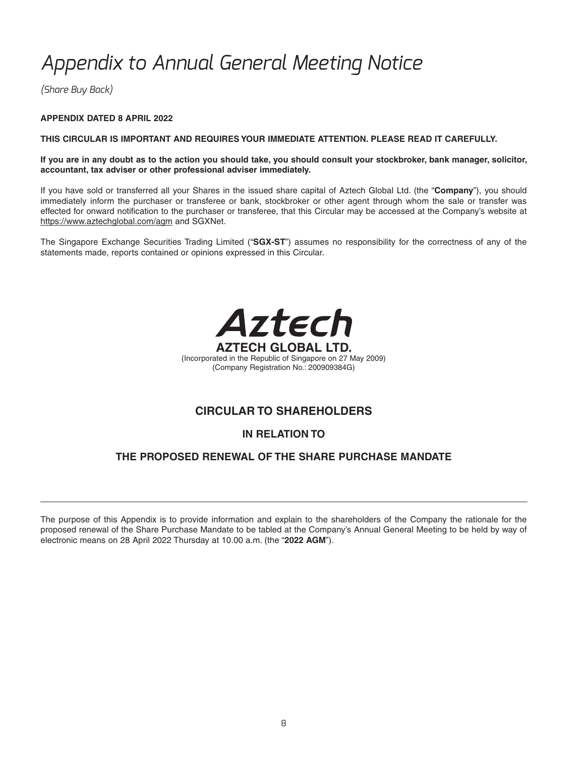*(Share Buy Back)*

### **APPENDIX DATED 8 APRIL 2022**

### **THIS CIRCULAR IS IMPORTANT AND REQUIRES YOUR IMMEDIATE ATTENTION. PLEASE READ IT CAREFULLY.**

### **If you are in any doubt as to the action you should take, you should consult your stockbroker, bank manager, solicitor, accountant, tax adviser or other professional adviser immediately.**

If you have sold or transferred all your Shares in the issued share capital of Aztech Global Ltd. (the "**Company**"), you should immediately inform the purchaser or transferee or bank, stockbroker or other agent through whom the sale or transfer was effected for onward notification to the purchaser or transferee, that this Circular may be accessed at the Company's website at https://www.aztechglobal.com/agm and SGXNet.

The Singapore Exchange Securities Trading Limited ("**SGX-ST**") assumes no responsibility for the correctness of any of the statements made, reports contained or opinions expressed in this Circular.



### **CIRCULAR TO SHAREHOLDERS**

### **IN RELATION TO**

### **THE PROPOSED RENEWAL OF THE SHARE PURCHASE MANDATE**

The purpose of this Appendix is to provide information and explain to the shareholders of the Company the rationale for the proposed renewal of the Share Purchase Mandate to be tabled at the Company's Annual General Meeting to be held by way of electronic means on 28 April 2022 Thursday at 10.00 a.m.(the "**2022 AGM**").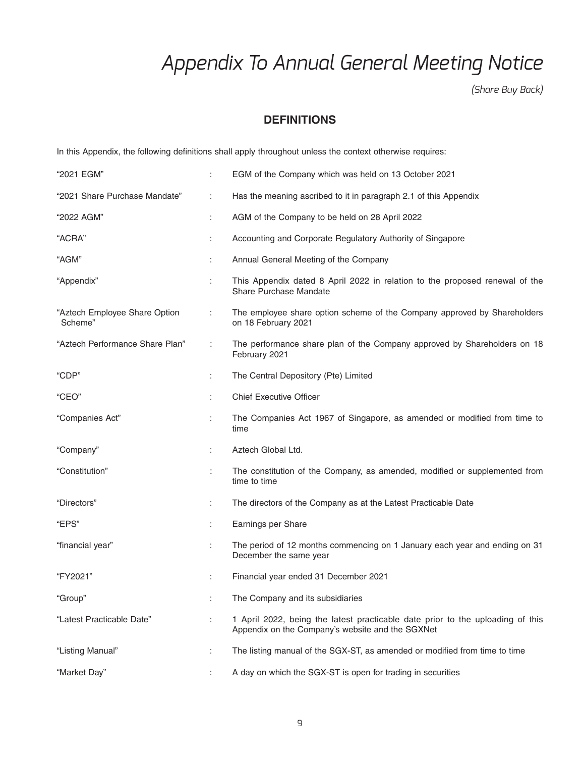*(Share Buy Back)*

### **DEFINITIONS**

In this Appendix, the following definitions shall apply throughout unless the context otherwise requires:

| "2021 EGM"                               | ÷                    | EGM of the Company which was held on 13 October 2021                                                                               |
|------------------------------------------|----------------------|------------------------------------------------------------------------------------------------------------------------------------|
| "2021 Share Purchase Mandate"            | ÷                    | Has the meaning ascribed to it in paragraph 2.1 of this Appendix                                                                   |
| "2022 AGM"                               | $\ddot{\phantom{0}}$ | AGM of the Company to be held on 28 April 2022                                                                                     |
| "ACRA"                                   |                      | Accounting and Corporate Regulatory Authority of Singapore                                                                         |
| "AGM"                                    |                      | Annual General Meeting of the Company                                                                                              |
| "Appendix"                               | ÷                    | This Appendix dated 8 April 2022 in relation to the proposed renewal of the<br>Share Purchase Mandate                              |
| "Aztech Employee Share Option<br>Scheme" | ÷                    | The employee share option scheme of the Company approved by Shareholders<br>on 18 February 2021                                    |
| "Aztech Performance Share Plan"          | ÷                    | The performance share plan of the Company approved by Shareholders on 18<br>February 2021                                          |
| "CDP"                                    | ÷                    | The Central Depository (Pte) Limited                                                                                               |
| "CEO"                                    |                      | <b>Chief Executive Officer</b>                                                                                                     |
| "Companies Act"                          | ÷.                   | The Companies Act 1967 of Singapore, as amended or modified from time to<br>time                                                   |
| "Company"                                | ÷                    | Aztech Global Ltd.                                                                                                                 |
| "Constitution"                           | ÷                    | The constitution of the Company, as amended, modified or supplemented from<br>time to time                                         |
| "Directors"                              | ÷                    | The directors of the Company as at the Latest Practicable Date                                                                     |
| "EPS"                                    | ÷                    | Earnings per Share                                                                                                                 |
| "financial year"                         | :                    | The period of 12 months commencing on 1 January each year and ending on 31<br>December the same year                               |
| "FY2021"                                 | :                    | Financial year ended 31 December 2021                                                                                              |
| "Group"                                  |                      | The Company and its subsidiaries                                                                                                   |
| "Latest Practicable Date"                | ÷.                   | 1 April 2022, being the latest practicable date prior to the uploading of this<br>Appendix on the Company's website and the SGXNet |
| "Listing Manual"                         | t.                   | The listing manual of the SGX-ST, as amended or modified from time to time                                                         |
| "Market Day"                             |                      | A day on which the SGX-ST is open for trading in securities                                                                        |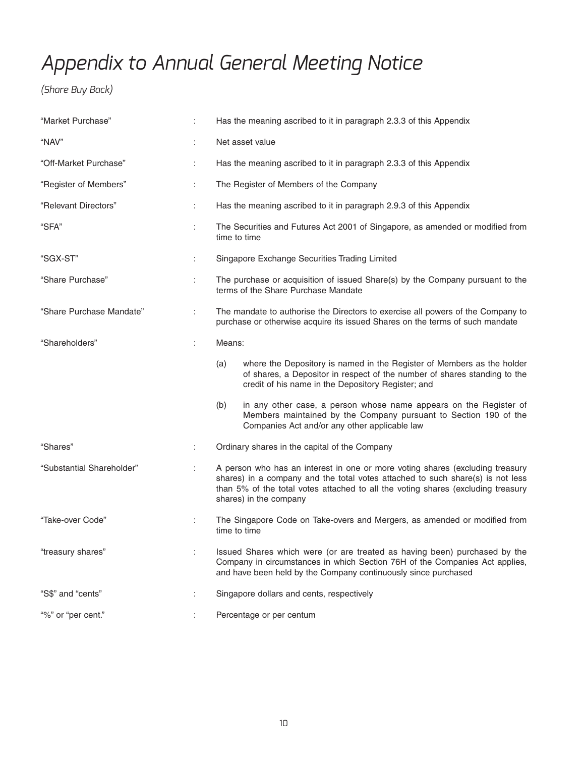*(Share Buy Back)*

| "Market Purchase"         | ÷  | Has the meaning ascribed to it in paragraph 2.3.3 of this Appendix                                                                                                                                                                                                            |
|---------------------------|----|-------------------------------------------------------------------------------------------------------------------------------------------------------------------------------------------------------------------------------------------------------------------------------|
| "NAV"                     | ÷  | Net asset value                                                                                                                                                                                                                                                               |
| "Off-Market Purchase"     | ÷  | Has the meaning ascribed to it in paragraph 2.3.3 of this Appendix                                                                                                                                                                                                            |
| "Register of Members"     | ÷  | The Register of Members of the Company                                                                                                                                                                                                                                        |
| "Relevant Directors"      | ÷. | Has the meaning ascribed to it in paragraph 2.9.3 of this Appendix                                                                                                                                                                                                            |
| "SFA"                     | ÷  | The Securities and Futures Act 2001 of Singapore, as amended or modified from<br>time to time                                                                                                                                                                                 |
| "SGX-ST"                  |    | Singapore Exchange Securities Trading Limited                                                                                                                                                                                                                                 |
| "Share Purchase"          | ÷. | The purchase or acquisition of issued Share(s) by the Company pursuant to the<br>terms of the Share Purchase Mandate                                                                                                                                                          |
| "Share Purchase Mandate"  | ÷  | The mandate to authorise the Directors to exercise all powers of the Company to<br>purchase or otherwise acquire its issued Shares on the terms of such mandate                                                                                                               |
| "Shareholders"            | ÷  | Means:                                                                                                                                                                                                                                                                        |
|                           |    | where the Depository is named in the Register of Members as the holder<br>(a)<br>of shares, a Depositor in respect of the number of shares standing to the<br>credit of his name in the Depository Register; and                                                              |
|                           |    | in any other case, a person whose name appears on the Register of<br>(b)<br>Members maintained by the Company pursuant to Section 190 of the<br>Companies Act and/or any other applicable law                                                                                 |
| "Shares"                  | ÷  | Ordinary shares in the capital of the Company                                                                                                                                                                                                                                 |
| "Substantial Shareholder" |    | A person who has an interest in one or more voting shares (excluding treasury<br>shares) in a company and the total votes attached to such share(s) is not less<br>than 5% of the total votes attached to all the voting shares (excluding treasury<br>shares) in the company |
| "Take-over Code"          | ÷. | The Singapore Code on Take-overs and Mergers, as amended or modified from<br>time to time                                                                                                                                                                                     |
| "treasury shares"         |    | Issued Shares which were (or are treated as having been) purchased by the<br>Company in circumstances in which Section 76H of the Companies Act applies,<br>and have been held by the Company continuously since purchased                                                    |
| "S\$" and "cents"         |    | Singapore dollars and cents, respectively                                                                                                                                                                                                                                     |
| "%" or "per cent."        |    | Percentage or per centum                                                                                                                                                                                                                                                      |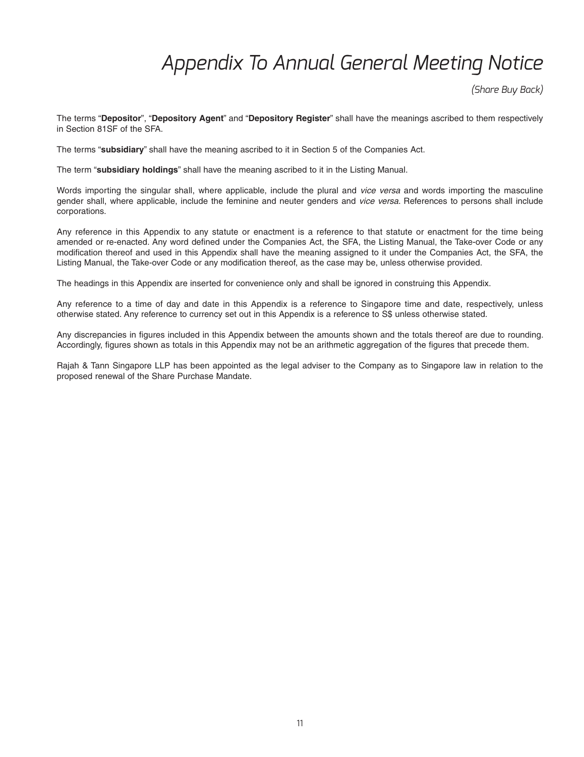*(Share Buy Back)*

The terms "**Depositor**", "**Depository Agent**" and "**Depository Register**" shall have the meanings ascribed to them respectively in Section 81SF of the SFA.

The terms "**subsidiary**" shall have the meaning ascribed to it in Section 5 of the Companies Act.

The term "**subsidiary holdings**" shall have the meaning ascribed to it in the Listing Manual.

Words importing the singular shall, where applicable, include the plural and *vice versa* and words importing the masculine gender shall, where applicable, include the feminine and neuter genders and *vice versa*. References to persons shall include corporations.

Any reference in this Appendix to any statute or enactment is a reference to that statute or enactment for the time being amended or re-enacted. Any word defined under the Companies Act, the SFA, the Listing Manual, the Take-over Code or any modification thereof and used in this Appendix shall have the meaning assigned to it under the Companies Act, the SFA, the Listing Manual, the Take-over Code or any modification thereof, as the case may be, unless otherwise provided.

The headings in this Appendix are inserted for convenience only and shall be ignored in construing this Appendix.

Any reference to a time of day and date in this Appendix is a reference to Singapore time and date, respectively, unless otherwise stated. Any reference to currency set out in this Appendix is a reference to S\$ unless otherwise stated.

Any discrepancies in figures included in this Appendix between the amounts shown and the totals thereof are due to rounding. Accordingly, figures shown as totals in this Appendix may not be an arithmetic aggregation of the figures that precede them.

Rajah & Tann Singapore LLP has been appointed as the legal adviser to the Company as to Singapore law in relation to the proposed renewal of the Share Purchase Mandate.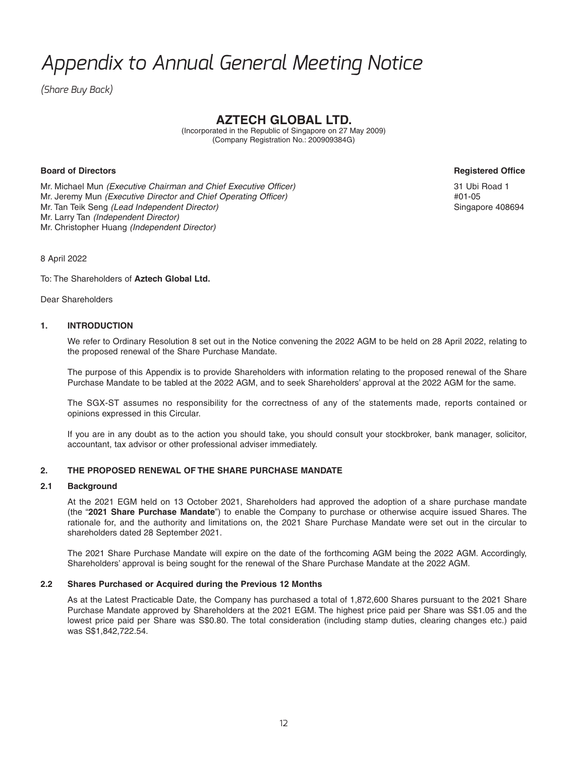*(Share Buy Back)*

## **AZTECH GLOBAL LTD.**

(Incorporated in the Republic of Singapore on 27 May 2009) (Company Registration No.: 200909384G)

### **Board of Directors Registered Offi ce**

Mr. Michael Mun *(Executive Chairman and Chief Executive Officer)* 31 Ubi Road 1 Mr. Jeremy Mun *(Executive Director and Chief Operating Officer)*  $\blacksquare$  *+*01-05 Mr. Tan Teik Seng *(Lead Independent Director)* Singapore 408694 Mr. Larry Tan *(Independent Director)*  Mr. Christopher Huang *(Independent Director)*

8 April 2022

To: The Shareholders of **Aztech Global Ltd.**

Dear Shareholders

### **1. INTRODUCTION**

 We refer to Ordinary Resolution 8 set out in the Notice convening the 2022 AGM to be held on 28 April 2022, relating to the proposed renewal of the Share Purchase Mandate.

 The purpose of this Appendix is to provide Shareholders with information relating to the proposed renewal of the Share Purchase Mandate to be tabled at the 2022 AGM, and to seek Shareholders' approval at the 2022 AGM for the same.

 The SGX-ST assumes no responsibility for the correctness of any of the statements made, reports contained or opinions expressed in this Circular.

 If you are in any doubt as to the action you should take, you should consult your stockbroker, bank manager, solicitor, accountant, tax advisor or other professional adviser immediately.

### **2. THE PROPOSED RENEWAL OF THE SHARE PURCHASE MANDATE**

### **2.1 Background**

 At the 2021 EGM held on 13 October 2021, Shareholders had approved the adoption of a share purchase mandate (the "**2021 Share Purchase Mandate**") to enable the Company to purchase or otherwise acquire issued Shares. The rationale for, and the authority and limitations on, the 2021 Share Purchase Mandate were set out in the circular to shareholders dated 28 September 2021.

 The 2021 Share Purchase Mandate will expire on the date of the forthcoming AGM being the 2022 AGM. Accordingly, Shareholders' approval is being sought for the renewal of the Share Purchase Mandate at the 2022 AGM.

### **2.2 Shares Purchased or Acquired during the Previous 12 Months**

As at the Latest Practicable Date, the Company has purchased a total of 1,872,600 Shares pursuant to the 2021 Share Purchase Mandate approved by Shareholders at the 2021 EGM. The highest price paid per Share was S\$1.05 and the lowest price paid per Share was S\$0.80. The total consideration (including stamp duties, clearing changes etc.) paid was S\$1,842,722.54.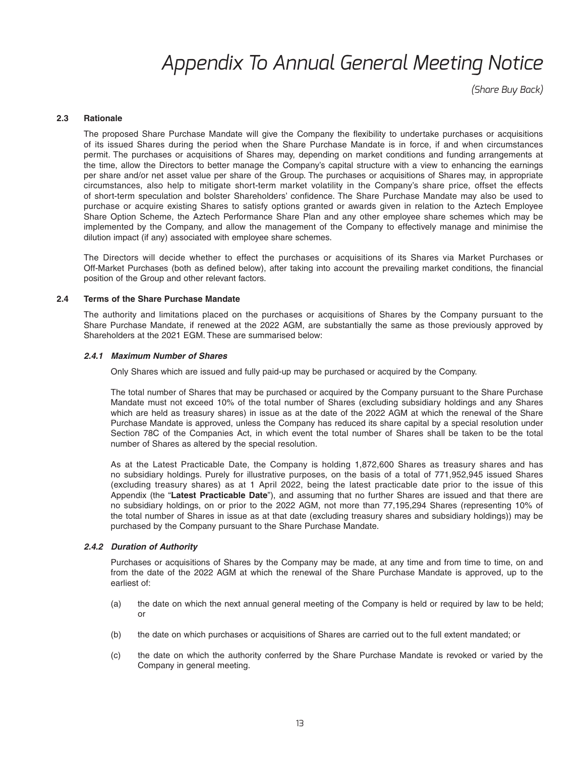*(Share Buy Back)*

#### **2.3 Rationale**

The proposed Share Purchase Mandate will give the Company the flexibility to undertake purchases or acquisitions of its issued Shares during the period when the Share Purchase Mandate is in force, if and when circumstances permit. The purchases or acquisitions of Shares may, depending on market conditions and funding arrangements at the time, allow the Directors to better manage the Company's capital structure with a view to enhancing the earnings per share and/or net asset value per share of the Group. The purchases or acquisitions of Shares may, in appropriate circumstances, also help to mitigate short-term market volatility in the Company's share price, offset the effects of short-term speculation and bolster Shareholders' confidence. The Share Purchase Mandate may also be used to purchase or acquire existing Shares to satisfy options granted or awards given in relation to the Aztech Employee Share Option Scheme, the Aztech Performance Share Plan and any other employee share schemes which may be implemented by the Company, and allow the management of the Company to effectively manage and minimise the dilution impact (if any) associated with employee share schemes.

 The Directors will decide whether to effect the purchases or acquisitions of its Shares via Market Purchases or Off-Market Purchases (both as defined below), after taking into account the prevailing market conditions, the financial position of the Group and other relevant factors.

#### **2.4 Terms of the Share Purchase Mandate**

 The authority and limitations placed on the purchases or acquisitions of Shares by the Company pursuant to the Share Purchase Mandate, if renewed at the 2022 AGM, are substantially the same as those previously approved by Shareholders at the 2021 EGM. These are summarised below:

#### *2.4.1 Maximum Number of Shares*

Only Shares which are issued and fully paid-up may be purchased or acquired by the Company.

 The total number of Shares that may be purchased or acquired by the Company pursuant to the Share Purchase Mandate must not exceed 10% of the total number of Shares (excluding subsidiary holdings and any Shares which are held as treasury shares) in issue as at the date of the 2022 AGM at which the renewal of the Share Purchase Mandate is approved, unless the Company has reduced its share capital by a special resolution under Section 78C of the Companies Act, in which event the total number of Shares shall be taken to be the total number of Shares as altered by the special resolution.

 As at the Latest Practicable Date, the Company is holding 1,872,600 Shares as treasury shares and has no subsidiary holdings. Purely for illustrative purposes, on the basis of a total of 771,952,945 issued Shares (excluding treasury shares) as at 1 April 2022, being the latest practicable date prior to the issue of this Appendix (the "**Latest Practicable Date**"), and assuming that no further Shares are issued and that there are no subsidiary holdings, on or prior to the 2022 AGM, not more than 77,195,294 Shares (representing 10% of the total number of Shares in issue as at that date (excluding treasury shares and subsidiary holdings)) may be purchased by the Company pursuant to the Share Purchase Mandate.

#### *2.4.2 Duration of Authority*

Purchases or acquisitions of Shares by the Company may be made, at any time and from time to time, on and from the date of the 2022 AGM at which the renewal of the Share Purchase Mandate is approved, up to the earliest of:

- (a) the date on which the next annual general meeting of the Company is held or required by law to be held; or
- (b) the date on which purchases or acquisitions of Shares are carried out to the full extent mandated; or
- (c) the date on which the authority conferred by the Share Purchase Mandate is revoked or varied by the Company in general meeting.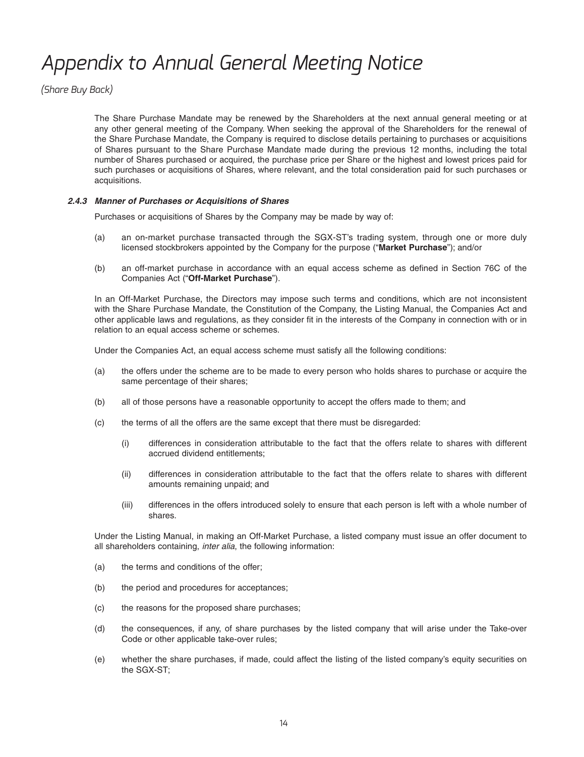*(Share Buy Back)*

 The Share Purchase Mandate may be renewed by the Shareholders at the next annual general meeting or at any other general meeting of the Company. When seeking the approval of the Shareholders for the renewal of the Share Purchase Mandate, the Company is required to disclose details pertaining to purchases or acquisitions of Shares pursuant to the Share Purchase Mandate made during the previous 12 months, including the total number of Shares purchased or acquired, the purchase price per Share or the highest and lowest prices paid for such purchases or acquisitions of Shares, where relevant, and the total consideration paid for such purchases or acquisitions.

### *2.4.3 Manner of Purchases or Acquisitions of Shares*

Purchases or acquisitions of Shares by the Company may be made by way of:

- (a) an on-market purchase transacted through the SGX-ST's trading system, through one or more duly licensed stockbrokers appointed by the Company for the purpose ("**Market Purchase**"); and/or
- (b) an off-market purchase in accordance with an equal access scheme as defined in Section 76C of the Companies Act ("**Off-Market Purchase**").

 In an Off-Market Purchase, the Directors may impose such terms and conditions, which are not inconsistent with the Share Purchase Mandate, the Constitution of the Company, the Listing Manual, the Companies Act and other applicable laws and regulations, as they consider fit in the interests of the Company in connection with or in relation to an equal access scheme or schemes.

Under the Companies Act, an equal access scheme must satisfy all the following conditions:

- (a) the offers under the scheme are to be made to every person who holds shares to purchase or acquire the same percentage of their shares;
- (b) all of those persons have a reasonable opportunity to accept the offers made to them; and
- (c) the terms of all the offers are the same except that there must be disregarded:
	- (i) differences in consideration attributable to the fact that the offers relate to shares with different accrued dividend entitlements;
	- (ii) differences in consideration attributable to the fact that the offers relate to shares with different amounts remaining unpaid; and
	- (iii) differences in the offers introduced solely to ensure that each person is left with a whole number of shares.

 Under the Listing Manual, in making an Off-Market Purchase, a listed company must issue an offer document to all shareholders containing, *inter alia*, the following information:

- (a) the terms and conditions of the offer;
- (b) the period and procedures for acceptances;
- (c) the reasons for the proposed share purchases;
- (d) the consequences, if any, of share purchases by the listed company that will arise under the Take-over Code or other applicable take-over rules;
- (e) whether the share purchases, if made, could affect the listing of the listed company's equity securities on the SGX-ST;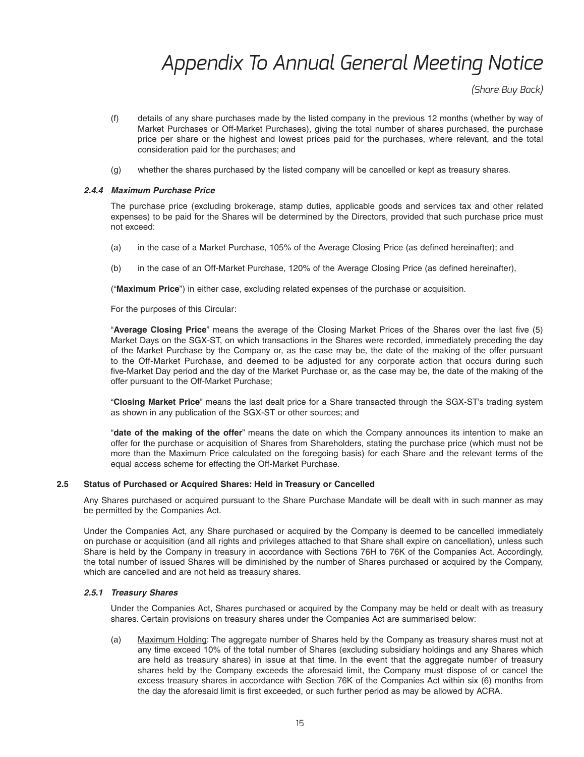*(Share Buy Back)*

- (f) details of any share purchases made by the listed company in the previous 12 months (whether by way of Market Purchases or Off-Market Purchases), giving the total number of shares purchased, the purchase price per share or the highest and lowest prices paid for the purchases, where relevant, and the total consideration paid for the purchases; and
- (g) whether the shares purchased by the listed company will be cancelled or kept as treasury shares.

#### *2.4.4 Maximum Purchase Price*

 The purchase price (excluding brokerage, stamp duties, applicable goods and services tax and other related expenses) to be paid for the Shares will be determined by the Directors, provided that such purchase price must not exceed:

- (a) in the case of a Market Purchase, 105% of the Average Closing Price (as defined hereinafter); and
- (b) in the case of an Off-Market Purchase, 120% of the Average Closing Price (as defined hereinafter),

("**Maximum Price**") in either case, excluding related expenses of the purchase or acquisition.

For the purposes of this Circular:

"Average Closing Price" means the average of the Closing Market Prices of the Shares over the last five (5) Market Days on the SGX-ST, on which transactions in the Shares were recorded, immediately preceding the day of the Market Purchase by the Company or, as the case may be, the date of the making of the offer pursuant to the Off-Market Purchase, and deemed to be adjusted for any corporate action that occurs during such five-Market Day period and the day of the Market Purchase or, as the case may be, the date of the making of the offer pursuant to the Off-Market Purchase;

 "**Closing Market Price**" means the last dealt price for a Share transacted through the SGX-ST's trading system as shown in any publication of the SGX-ST or other sources; and

 "**date of the making of the offer**" means the date on which the Company announces its intention to make an offer for the purchase or acquisition of Shares from Shareholders, stating the purchase price (which must not be more than the Maximum Price calculated on the foregoing basis) for each Share and the relevant terms of the equal access scheme for effecting the Off-Market Purchase.

### **2.5 Status of Purchased or Acquired Shares: Held in Treasury or Cancelled**

 Any Shares purchased or acquired pursuant to the Share Purchase Mandate will be dealt with in such manner as may be permitted by the Companies Act.

 Under the Companies Act, any Share purchased or acquired by the Company is deemed to be cancelled immediately on purchase or acquisition (and all rights and privileges attached to that Share shall expire on cancellation), unless such Share is held by the Company in treasury in accordance with Sections 76H to 76K of the Companies Act. Accordingly, the total number of issued Shares will be diminished by the number of Shares purchased or acquired by the Company, which are cancelled and are not held as treasury shares.

### *2.5.1 Treasury Shares*

 Under the Companies Act, Shares purchased or acquired by the Company may be held or dealt with as treasury shares. Certain provisions on treasury shares under the Companies Act are summarised below:

 (a) Maximum Holding: The aggregate number of Shares held by the Company as treasury shares must not at any time exceed 10% of the total number of Shares (excluding subsidiary holdings and any Shares which are held as treasury shares) in issue at that time. In the event that the aggregate number of treasury shares held by the Company exceeds the aforesaid limit, the Company must dispose of or cancel the excess treasury shares in accordance with Section 76K of the Companies Act within six (6) months from the day the aforesaid limit is first exceeded, or such further period as may be allowed by ACRA.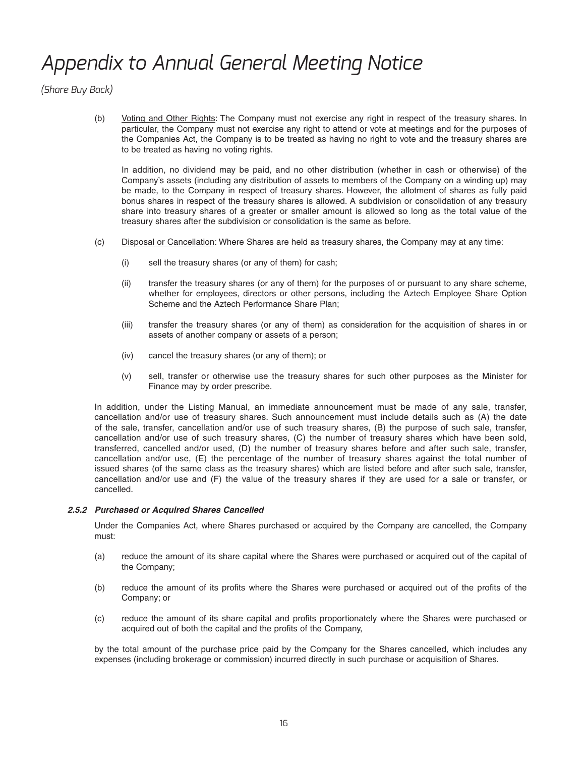*(Share Buy Back)*

 (b) Voting and Other Rights: The Company must not exercise any right in respect of the treasury shares. In particular, the Company must not exercise any right to attend or vote at meetings and for the purposes of the Companies Act, the Company is to be treated as having no right to vote and the treasury shares are to be treated as having no voting rights.

 In addition, no dividend may be paid, and no other distribution (whether in cash or otherwise) of the Company's assets (including any distribution of assets to members of the Company on a winding up) may be made, to the Company in respect of treasury shares. However, the allotment of shares as fully paid bonus shares in respect of the treasury shares is allowed. A subdivision or consolidation of any treasury share into treasury shares of a greater or smaller amount is allowed so long as the total value of the treasury shares after the subdivision or consolidation is the same as before.

- (c) Disposal or Cancellation: Where Shares are held as treasury shares, the Company may at any time:
	- (i) sell the treasury shares (or any of them) for cash;
	- (ii) transfer the treasury shares (or any of them) for the purposes of or pursuant to any share scheme, whether for employees, directors or other persons, including the Aztech Employee Share Option Scheme and the Aztech Performance Share Plan;
	- (iii) transfer the treasury shares (or any of them) as consideration for the acquisition of shares in or assets of another company or assets of a person;
	- (iv) cancel the treasury shares (or any of them); or
	- (v) sell, transfer or otherwise use the treasury shares for such other purposes as the Minister for Finance may by order prescribe.

 In addition, under the Listing Manual, an immediate announcement must be made of any sale, transfer, cancellation and/or use of treasury shares. Such announcement must include details such as (A) the date of the sale, transfer, cancellation and/or use of such treasury shares, (B) the purpose of such sale, transfer, cancellation and/or use of such treasury shares, (C) the number of treasury shares which have been sold, transferred, cancelled and/or used, (D) the number of treasury shares before and after such sale, transfer, cancellation and/or use, (E) the percentage of the number of treasury shares against the total number of issued shares (of the same class as the treasury shares) which are listed before and after such sale, transfer, cancellation and/or use and (F) the value of the treasury shares if they are used for a sale or transfer, or cancelled.

### *2.5.2 Purchased or Acquired Shares Cancelled*

 Under the Companies Act, where Shares purchased or acquired by the Company are cancelled, the Company must:

- (a) reduce the amount of its share capital where the Shares were purchased or acquired out of the capital of the Company;
- (b) reduce the amount of its profits where the Shares were purchased or acquired out of the profits of the Company; or
- (c) reduce the amount of its share capital and profits proportionately where the Shares were purchased or acquired out of both the capital and the profits of the Company,

 by the total amount of the purchase price paid by the Company for the Shares cancelled, which includes any expenses (including brokerage or commission) incurred directly in such purchase or acquisition of Shares.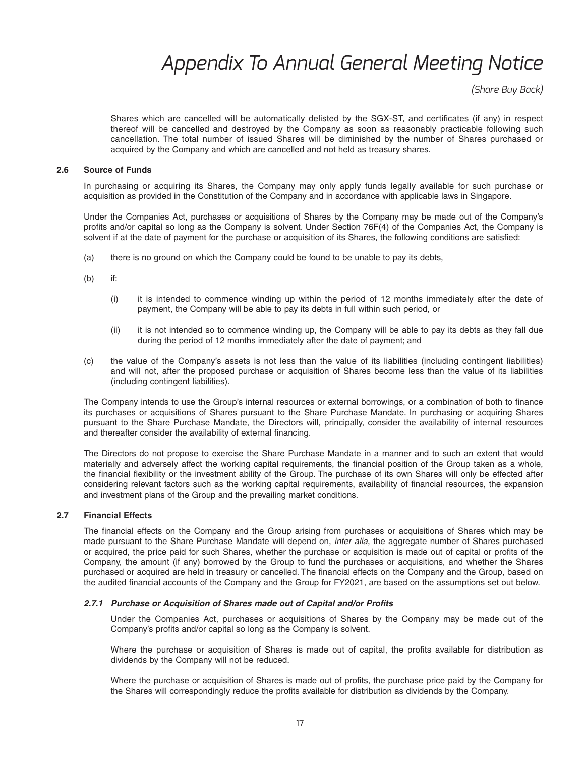*(Share Buy Back)*

Shares which are cancelled will be automatically delisted by the SGX-ST, and certificates (if any) in respect thereof will be cancelled and destroyed by the Company as soon as reasonably practicable following such cancellation. The total number of issued Shares will be diminished by the number of Shares purchased or acquired by the Company and which are cancelled and not held as treasury shares.

#### **2.6 Source of Funds**

 In purchasing or acquiring its Shares, the Company may only apply funds legally available for such purchase or acquisition as provided in the Constitution of the Company and in accordance with applicable laws in Singapore.

 Under the Companies Act, purchases or acquisitions of Shares by the Company may be made out of the Company's profits and/or capital so long as the Company is solvent. Under Section 76F(4) of the Companies Act, the Company is solvent if at the date of payment for the purchase or acquisition of its Shares, the following conditions are satisfied:

- (a) there is no ground on which the Company could be found to be unable to pay its debts,
- (b) if:
	- (i) it is intended to commence winding up within the period of 12 months immediately after the date of payment, the Company will be able to pay its debts in full within such period, or
	- (ii) it is not intended so to commence winding up, the Company will be able to pay its debts as they fall due during the period of 12 months immediately after the date of payment; and
- (c) the value of the Company's assets is not less than the value of its liabilities (including contingent liabilities) and will not, after the proposed purchase or acquisition of Shares become less than the value of its liabilities (including contingent liabilities).

The Company intends to use the Group's internal resources or external borrowings, or a combination of both to finance its purchases or acquisitions of Shares pursuant to the Share Purchase Mandate. In purchasing or acquiring Shares pursuant to the Share Purchase Mandate, the Directors will, principally, consider the availability of internal resources and thereafter consider the availability of external financing.

 The Directors do not propose to exercise the Share Purchase Mandate in a manner and to such an extent that would materially and adversely affect the working capital requirements, the financial position of the Group taken as a whole, the financial flexibility or the investment ability of the Group. The purchase of its own Shares will only be effected after considering relevant factors such as the working capital requirements, availability of financial resources, the expansion and investment plans of the Group and the prevailing market conditions.

### **2.7 Financial Effects**

The financial effects on the Company and the Group arising from purchases or acquisitions of Shares which may be made pursuant to the Share Purchase Mandate will depend on, *inter alia*, the aggregate number of Shares purchased or acquired, the price paid for such Shares, whether the purchase or acquisition is made out of capital or profits of the Company, the amount (if any) borrowed by the Group to fund the purchases or acquisitions, and whether the Shares purchased or acquired are held in treasury or cancelled. The financial effects on the Company and the Group, based on the audited financial accounts of the Company and the Group for FY2021, are based on the assumptions set out below.

#### 2.7.1 Purchase or Acquisition of Shares made out of Capital and/or Profits

 Under the Companies Act, purchases or acquisitions of Shares by the Company may be made out of the Company's profits and/or capital so long as the Company is solvent.

Where the purchase or acquisition of Shares is made out of capital, the profits available for distribution as dividends by the Company will not be reduced.

Where the purchase or acquisition of Shares is made out of profits, the purchase price paid by the Company for the Shares will correspondingly reduce the profits available for distribution as dividends by the Company.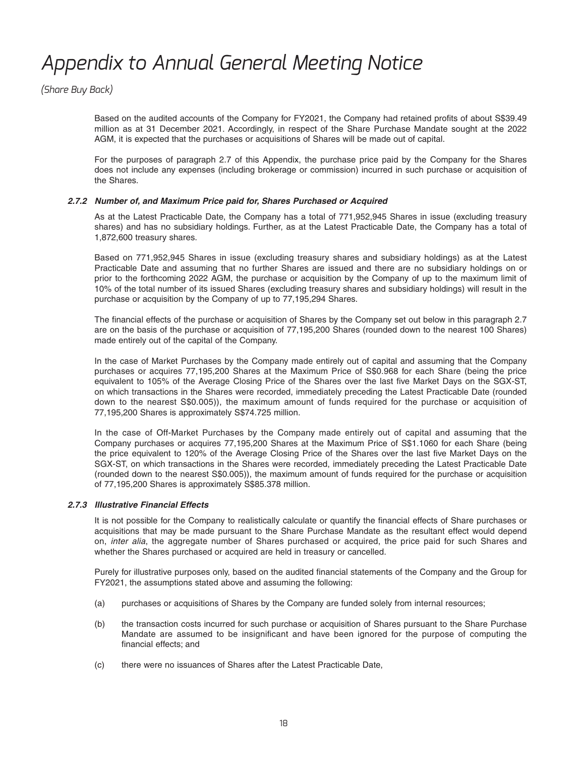*(Share Buy Back)*

Based on the audited accounts of the Company for FY2021, the Company had retained profits of about S\$39.49 million as at 31 December 2021. Accordingly, in respect of the Share Purchase Mandate sought at the 2022 AGM, it is expected that the purchases or acquisitions of Shares will be made out of capital.

 For the purposes of paragraph 2.7 of this Appendix, the purchase price paid by the Company for the Shares does not include any expenses (including brokerage or commission) incurred in such purchase or acquisition of the Shares.

### *2.7.2 Number of, and Maximum Price paid for, Shares Purchased or Acquired*

 As at the Latest Practicable Date, the Company has a total of 771,952,945 Shares in issue (excluding treasury shares) and has no subsidiary holdings. Further, as at the Latest Practicable Date, the Company has a total of 1,872,600 treasury shares.

 Based on 771,952,945 Shares in issue (excluding treasury shares and subsidiary holdings) as at the Latest Practicable Date and assuming that no further Shares are issued and there are no subsidiary holdings on or prior to the forthcoming 2022 AGM, the purchase or acquisition by the Company of up to the maximum limit of 10% of the total number of its issued Shares (excluding treasury shares and subsidiary holdings) will result in the purchase or acquisition by the Company of up to 77,195,294 Shares.

The financial effects of the purchase or acquisition of Shares by the Company set out below in this paragraph 2.7 are on the basis of the purchase or acquisition of 77,195,200 Shares (rounded down to the nearest 100 Shares) made entirely out of the capital of the Company.

 In the case of Market Purchases by the Company made entirely out of capital and assuming that the Company purchases or acquires 77,195,200 Shares at the Maximum Price of S\$0.968 for each Share (being the price equivalent to 105% of the Average Closing Price of the Shares over the last five Market Days on the SGX-ST, on which transactions in the Shares were recorded, immediately preceding the Latest Practicable Date (rounded down to the nearest S\$0.005)), the maximum amount of funds required for the purchase or acquisition of 77,195,200 Shares is approximately S\$74.725 million.

 In the case of Off-Market Purchases by the Company made entirely out of capital and assuming that the Company purchases or acquires 77,195,200 Shares at the Maximum Price of S\$1.1060 for each Share (being the price equivalent to 120% of the Average Closing Price of the Shares over the last five Market Days on the SGX-ST, on which transactions in the Shares were recorded, immediately preceding the Latest Practicable Date (rounded down to the nearest S\$0.005)), the maximum amount of funds required for the purchase or acquisition of 77,195,200 Shares is approximately S\$85.378 million.

### *2.7.3 Illustrative Financial Effects*

It is not possible for the Company to realistically calculate or quantify the financial effects of Share purchases or acquisitions that may be made pursuant to the Share Purchase Mandate as the resultant effect would depend on, *inter alia*, the aggregate number of Shares purchased or acquired, the price paid for such Shares and whether the Shares purchased or acquired are held in treasury or cancelled.

Purely for illustrative purposes only, based on the audited financial statements of the Company and the Group for FY2021, the assumptions stated above and assuming the following:

- (a) purchases or acquisitions of Shares by the Company are funded solely from internal resources;
- (b) the transaction costs incurred for such purchase or acquisition of Shares pursuant to the Share Purchase Mandate are assumed to be insignificant and have been ignored for the purpose of computing the financial effects; and
- (c) there were no issuances of Shares after the Latest Practicable Date,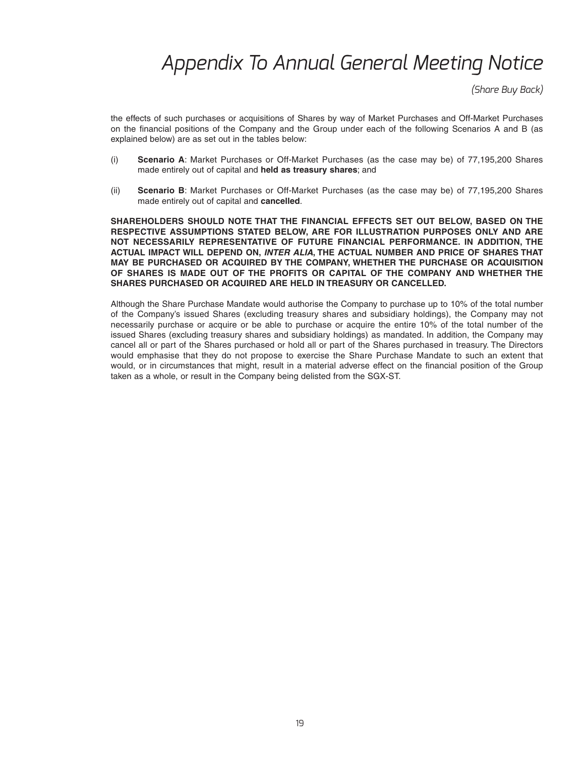*(Share Buy Back)*

 the effects of such purchases or acquisitions of Shares by way of Market Purchases and Off-Market Purchases on the financial positions of the Company and the Group under each of the following Scenarios A and B (as explained below) are as set out in the tables below:

- (i) **Scenario A**: Market Purchases or Off-Market Purchases (as the case may be) of 77,195,200 Shares made entirely out of capital and **held as treasury shares**; and
- (ii) **Scenario B**: Market Purchases or Off-Market Purchases (as the case may be) of 77,195,200 Shares made entirely out of capital and **cancelled**.

 **SHAREHOLDERS SHOULD NOTE THAT THE FINANCIAL EFFECTS SET OUT BELOW, BASED ON THE RESPECTIVE ASSUMPTIONS STATED BELOW, ARE FOR ILLUSTRATION PURPOSES ONLY AND ARE NOT NECESSARILY REPRESENTATIVE OF FUTURE FINANCIAL PERFORMANCE. IN ADDITION, THE ACTUAL IMPACT WILL DEPEND ON,** *INTER ALIA***, THE ACTUAL NUMBER AND PRICE OF SHARES THAT MAY BE PURCHASED OR ACQUIRED BY THE COMPANY, WHETHER THE PURCHASE OR ACQUISITION OF SHARES IS MADE OUT OF THE PROFITS OR CAPITAL OF THE COMPANY AND WHETHER THE SHARES PURCHASED OR ACQUIRED ARE HELD IN TREASURY OR CANCELLED.**

 Although the Share Purchase Mandate would authorise the Company to purchase up to 10% of the total number of the Company's issued Shares (excluding treasury shares and subsidiary holdings), the Company may not necessarily purchase or acquire or be able to purchase or acquire the entire 10% of the total number of the issued Shares (excluding treasury shares and subsidiary holdings) as mandated. In addition, the Company may cancel all or part of the Shares purchased or hold all or part of the Shares purchased in treasury. The Directors would emphasise that they do not propose to exercise the Share Purchase Mandate to such an extent that would, or in circumstances that might, result in a material adverse effect on the financial position of the Group taken as a whole, or result in the Company being delisted from the SGX-ST.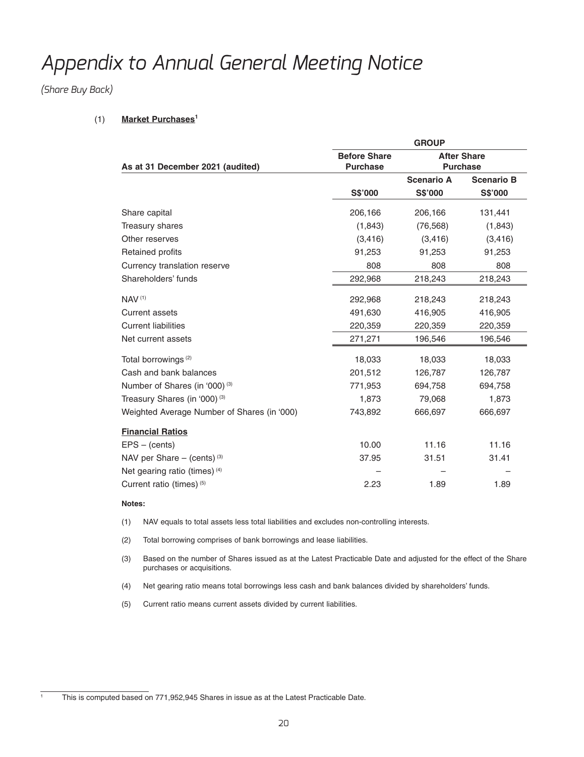*(Share Buy Back)*

### (1) **Market Purchases1**

|                                                                            | <b>GROUP</b> |                                       |                   |  |
|----------------------------------------------------------------------------|--------------|---------------------------------------|-------------------|--|
| <b>Before Share</b><br>As at 31 December 2021 (audited)<br><b>Purchase</b> |              | <b>After Share</b><br><b>Purchase</b> |                   |  |
|                                                                            |              | <b>Scenario A</b>                     | <b>Scenario B</b> |  |
|                                                                            | S\$'000      | <b>S\$'000</b>                        | <b>S\$'000</b>    |  |
| Share capital                                                              | 206,166      | 206,166                               | 131,441           |  |
| Treasury shares                                                            | (1, 843)     | (76, 568)                             | (1, 843)          |  |
| Other reserves                                                             | (3, 416)     | (3, 416)                              | (3, 416)          |  |
| Retained profits                                                           | 91,253       | 91,253                                | 91,253            |  |
| Currency translation reserve                                               | 808          | 808                                   | 808               |  |
| Shareholders' funds                                                        | 292,968      | 218,243                               | 218,243           |  |
| NAV <sup>(1)</sup>                                                         | 292,968      | 218,243                               | 218,243           |  |
| <b>Current assets</b>                                                      | 491,630      | 416,905                               | 416,905           |  |
| <b>Current liabilities</b>                                                 | 220,359      | 220,359                               | 220,359           |  |
| Net current assets                                                         | 271,271      | 196,546                               | 196,546           |  |
| Total borrowings <sup>(2)</sup>                                            | 18,033       | 18,033                                | 18,033            |  |
| Cash and bank balances                                                     | 201,512      | 126,787                               | 126,787           |  |
| Number of Shares (in '000) (3)                                             | 771,953      | 694,758                               | 694,758           |  |
| Treasury Shares (in '000) <sup>(3)</sup>                                   | 1,873        | 79,068                                | 1,873             |  |
| Weighted Average Number of Shares (in '000)                                | 743,892      | 666,697                               | 666,697           |  |
| <b>Financial Ratios</b>                                                    |              |                                       |                   |  |
| $EPS - (cents)$                                                            | 10.00        | 11.16                                 | 11.16             |  |
| NAV per Share $-$ (cents) <sup>(3)</sup>                                   | 37.95        | 31.51                                 | 31.41             |  |
| Net gearing ratio (times) (4)                                              |              |                                       |                   |  |
| Current ratio (times) (5)                                                  | 2.23         | 1.89                                  | 1.89              |  |

#### **Notes:**

1

- (1) NAV equals to total assets less total liabilities and excludes non-controlling interests.
- (2) Total borrowing comprises of bank borrowings and lease liabilities.
- (3) Based on the number of Shares issued as at the Latest Practicable Date and adjusted for the effect of the Share purchases or acquisitions.
- (4) Net gearing ratio means total borrowings less cash and bank balances divided by shareholders' funds.
- (5) Current ratio means current assets divided by current liabilities.

This is computed based on 771,952,945 Shares in issue as at the Latest Practicable Date.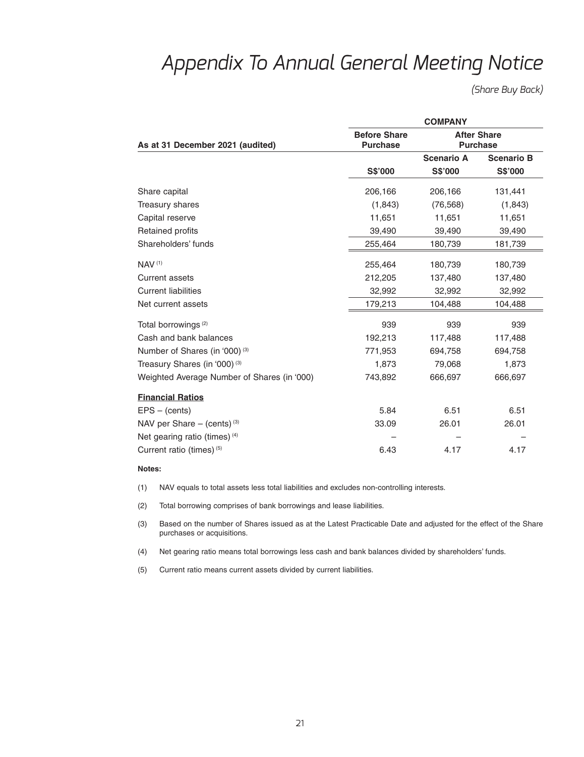*(Share Buy Back)*

|                                             | <b>COMPANY</b>                         |                                       |                   |  |  |
|---------------------------------------------|----------------------------------------|---------------------------------------|-------------------|--|--|
| As at 31 December 2021 (audited)            | <b>Before Share</b><br><b>Purchase</b> | <b>After Share</b><br><b>Purchase</b> |                   |  |  |
|                                             |                                        | <b>Scenario A</b>                     | <b>Scenario B</b> |  |  |
|                                             | <b>S\$'000</b>                         | S\$'000                               | <b>S\$'000</b>    |  |  |
| Share capital                               | 206,166                                | 206,166                               | 131,441           |  |  |
| Treasury shares                             | (1, 843)                               | (76, 568)                             | (1, 843)          |  |  |
| Capital reserve                             | 11,651                                 | 11,651                                | 11,651            |  |  |
| <b>Retained profits</b>                     | 39,490                                 | 39,490                                | 39,490            |  |  |
| Shareholders' funds                         | 255,464                                | 180,739                               | 181,739           |  |  |
| <b>NAV (1)</b>                              | 255,464                                | 180,739                               | 180,739           |  |  |
| Current assets                              | 212,205                                | 137,480                               | 137,480           |  |  |
| <b>Current liabilities</b>                  | 32,992                                 | 32,992                                | 32,992            |  |  |
| Net current assets                          | 179,213                                | 104,488                               | 104,488           |  |  |
| Total borrowings <sup>(2)</sup>             | 939                                    | 939                                   | 939               |  |  |
| Cash and bank balances                      | 192,213                                | 117,488                               | 117,488           |  |  |
| Number of Shares (in '000) <sup>(3)</sup>   | 771,953                                | 694,758                               | 694,758           |  |  |
| Treasury Shares (in '000) <sup>(3)</sup>    | 1,873                                  | 79,068                                | 1,873             |  |  |
| Weighted Average Number of Shares (in '000) | 743,892                                | 666,697                               | 666,697           |  |  |
| <b>Financial Ratios</b>                     |                                        |                                       |                   |  |  |
| $EPS - (cents)$                             | 5.84                                   | 6.51                                  | 6.51              |  |  |
| NAV per Share $-$ (cents) <sup>(3)</sup>    | 33.09                                  | 26.01                                 | 26.01             |  |  |
| Net gearing ratio (times) (4)               |                                        |                                       |                   |  |  |
| Current ratio (times) (5)                   | 6.43                                   | 4.17                                  | 4.17              |  |  |

#### **Notes:**

(1) NAV equals to total assets less total liabilities and excludes non-controlling interests.

(2) Total borrowing comprises of bank borrowings and lease liabilities.

 (3) Based on the number of Shares issued as at the Latest Practicable Date and adjusted for the effect of the Share purchases or acquisitions.

(4) Net gearing ratio means total borrowings less cash and bank balances divided by shareholders' funds.

(5) Current ratio means current assets divided by current liabilities.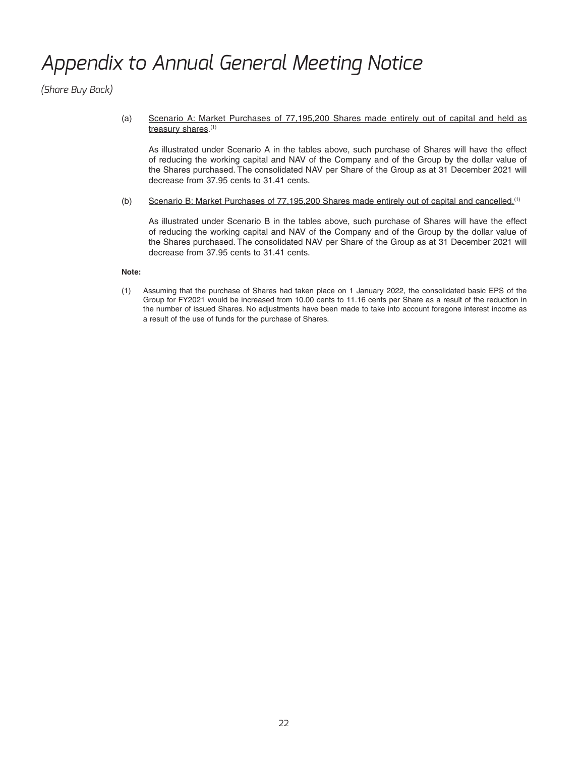*(Share Buy Back)*

 (a) Scenario A: Market Purchases of 77,195,200 Shares made entirely out of capital and held as treasury shares.(1)

 As illustrated under Scenario A in the tables above, such purchase of Shares will have the effect of reducing the working capital and NAV of the Company and of the Group by the dollar value of the Shares purchased. The consolidated NAV per Share of the Group as at 31 December 2021 will decrease from 37.95 cents to 31.41 cents.

(b) Scenario B: Market Purchases of 77,195,200 Shares made entirely out of capital and cancelled.(1)

 As illustrated under Scenario B in the tables above, such purchase of Shares will have the effect of reducing the working capital and NAV of the Company and of the Group by the dollar value of the Shares purchased. The consolidated NAV per Share of the Group as at 31 December 2021 will decrease from 37.95 cents to 31.41 cents.

### **Note:**

 (1) Assuming that the purchase of Shares had taken place on 1 January 2022, the consolidated basic EPS of the Group for FY2021 would be increased from 10.00 cents to 11.16 cents per Share as a result of the reduction in the number of issued Shares. No adjustments have been made to take into account foregone interest income as a result of the use of funds for the purchase of Shares.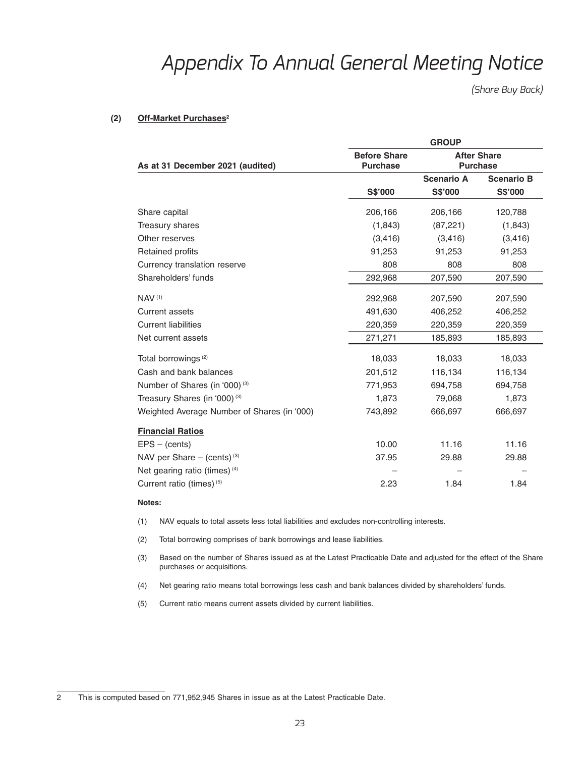*(Share Buy Back)*

### (2) Off-Market Purchases<sup>2</sup>

|                                             | <b>GROUP</b>                           |                                       |                   |  |
|---------------------------------------------|----------------------------------------|---------------------------------------|-------------------|--|
| As at 31 December 2021 (audited)            | <b>Before Share</b><br><b>Purchase</b> | <b>After Share</b><br><b>Purchase</b> |                   |  |
|                                             |                                        | <b>Scenario A</b>                     | <b>Scenario B</b> |  |
|                                             | S\$'000                                | <b>S\$'000</b>                        | <b>S\$'000</b>    |  |
| Share capital                               | 206,166                                | 206,166                               | 120,788           |  |
| Treasury shares                             | (1, 843)                               | (87, 221)                             | (1,843)           |  |
| Other reserves                              | (3, 416)                               | (3, 416)                              | (3, 416)          |  |
| Retained profits                            | 91,253                                 | 91,253                                | 91,253            |  |
| Currency translation reserve                | 808                                    | 808                                   | 808               |  |
| Shareholders' funds                         | 292,968                                | 207,590                               | 207,590           |  |
| <b>NAV (1)</b>                              | 292,968                                | 207,590                               | 207,590           |  |
| <b>Current assets</b>                       | 491,630                                | 406,252                               | 406,252           |  |
| <b>Current liabilities</b>                  | 220,359                                | 220,359                               | 220,359           |  |
| Net current assets                          | 271,271                                | 185,893                               | 185,893           |  |
| Total borrowings <sup>(2)</sup>             | 18,033                                 | 18,033                                | 18,033            |  |
| Cash and bank balances                      | 201,512                                | 116,134                               | 116,134           |  |
| Number of Shares (in '000) <sup>(3)</sup>   | 771,953                                | 694,758                               | 694,758           |  |
| Treasury Shares (in '000) (3)               | 1,873                                  | 79,068                                | 1,873             |  |
| Weighted Average Number of Shares (in '000) | 743,892                                | 666,697                               | 666,697           |  |
| <b>Financial Ratios</b>                     |                                        |                                       |                   |  |
| $EPS - (cents)$                             | 10.00                                  | 11.16                                 | 11.16             |  |
| NAV per Share $-$ (cents) <sup>(3)</sup>    | 37.95                                  | 29.88                                 | 29.88             |  |
| Net gearing ratio (times) (4)               |                                        |                                       |                   |  |
| Current ratio (times) (5)                   | 2.23                                   | 1.84                                  | 1.84              |  |

#### **Notes:**

- (1) NAV equals to total assets less total liabilities and excludes non-controlling interests.
- (2) Total borrowing comprises of bank borrowings and lease liabilities.
- (3) Based on the number of Shares issued as at the Latest Practicable Date and adjusted for the effect of the Share purchases or acquisitions.
- (4) Net gearing ratio means total borrowings less cash and bank balances divided by shareholders' funds.
- (5) Current ratio means current assets divided by current liabilities.

<sup>2</sup> This is computed based on 771,952,945 Shares in issue as at the Latest Practicable Date.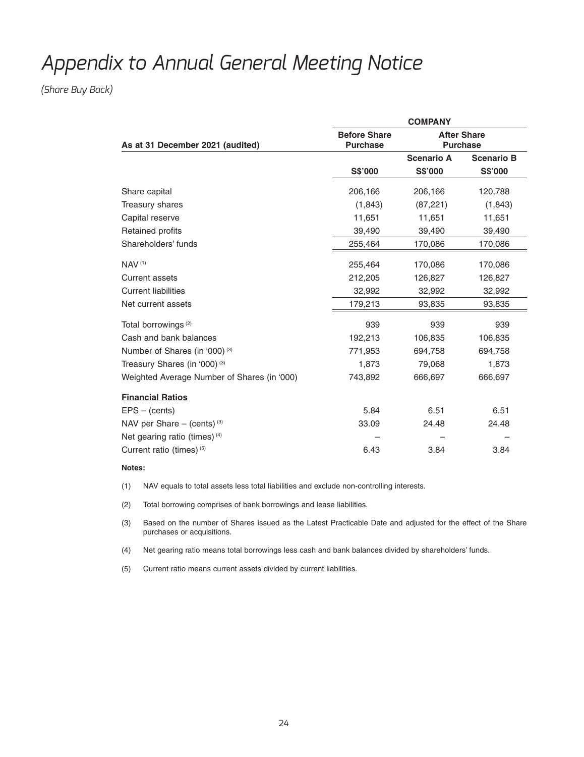*(Share Buy Back)*

|                                             | <b>COMPANY</b>                         |                                       |                   |  |
|---------------------------------------------|----------------------------------------|---------------------------------------|-------------------|--|
| As at 31 December 2021 (audited)            | <b>Before Share</b><br><b>Purchase</b> | <b>After Share</b><br><b>Purchase</b> |                   |  |
|                                             |                                        | <b>Scenario A</b>                     | <b>Scenario B</b> |  |
|                                             | S\$'000                                | S\$'000                               | S\$'000           |  |
| Share capital                               | 206,166                                | 206,166                               | 120,788           |  |
| Treasury shares                             | (1,843)                                | (87, 221)                             | (1, 843)          |  |
| Capital reserve                             | 11,651                                 | 11,651                                | 11,651            |  |
| Retained profits                            | 39,490                                 | 39,490                                | 39,490            |  |
| Shareholders' funds                         | 255,464                                | 170,086                               | 170,086           |  |
| <b>NAV (1)</b>                              | 255,464                                | 170,086                               | 170,086           |  |
| Current assets                              | 212,205                                | 126,827                               | 126,827           |  |
| <b>Current liabilities</b>                  | 32,992                                 | 32,992                                | 32,992            |  |
| Net current assets                          | 179,213                                | 93,835                                | 93,835            |  |
| Total borrowings <sup>(2)</sup>             | 939                                    | 939                                   | 939               |  |
| Cash and bank balances                      | 192,213                                | 106,835                               | 106,835           |  |
| Number of Shares (in '000) <sup>(3)</sup>   | 771,953                                | 694,758                               | 694,758           |  |
| Treasury Shares (in '000) <sup>(3)</sup>    | 1,873                                  | 79,068                                | 1,873             |  |
| Weighted Average Number of Shares (in '000) | 743,892                                | 666,697                               | 666,697           |  |
| <b>Financial Ratios</b>                     |                                        |                                       |                   |  |
| $EPS - (cents)$                             | 5.84                                   | 6.51                                  | 6.51              |  |
| NAV per Share $-$ (cents) <sup>(3)</sup>    | 33.09                                  | 24.48                                 | 24.48             |  |
| Net gearing ratio (times) (4)               |                                        |                                       |                   |  |
| Current ratio (times) (5)                   | 6.43                                   | 3.84                                  | 3.84              |  |

### **Notes:**

(1) NAV equals to total assets less total liabilities and exclude non-controlling interests.

(2) Total borrowing comprises of bank borrowings and lease liabilities.

 (3) Based on the number of Shares issued as the Latest Practicable Date and adjusted for the effect of the Share purchases or acquisitions.

(4) Net gearing ratio means total borrowings less cash and bank balances divided by shareholders' funds.

(5) Current ratio means current assets divided by current liabilities.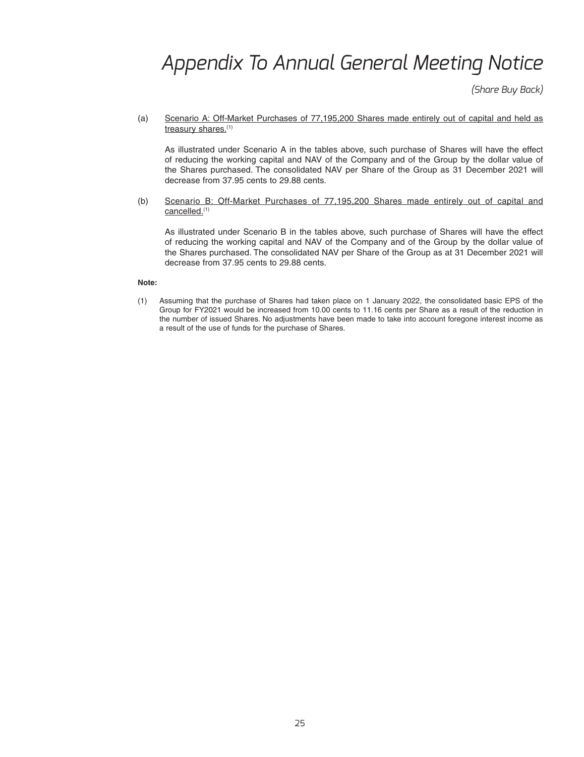*(Share Buy Back)*

 (a) Scenario A: Off-Market Purchases of 77,195,200 Shares made entirely out of capital and held as treasury shares.(1)

 As illustrated under Scenario A in the tables above, such purchase of Shares will have the effect of reducing the working capital and NAV of the Company and of the Group by the dollar value of the Shares purchased. The consolidated NAV per Share of the Group as 31 December 2021 will decrease from 37.95 cents to 29.88 cents.

 (b) Scenario B: Off-Market Purchases of 77,195,200 Shares made entirely out of capital and cancelled.(1)

 As illustrated under Scenario B in the tables above, such purchase of Shares will have the effect of reducing the working capital and NAV of the Company and of the Group by the dollar value of the Shares purchased. The consolidated NAV per Share of the Group as at 31 December 2021 will decrease from 37.95 cents to 29.88 cents.

#### **Note:**

 (1) Assuming that the purchase of Shares had taken place on 1 January 2022, the consolidated basic EPS of the Group for FY2021 would be increased from 10.00 cents to 11.16 cents per Share as a result of the reduction in the number of issued Shares. No adjustments have been made to take into account foregone interest income as a result of the use of funds for the purchase of Shares.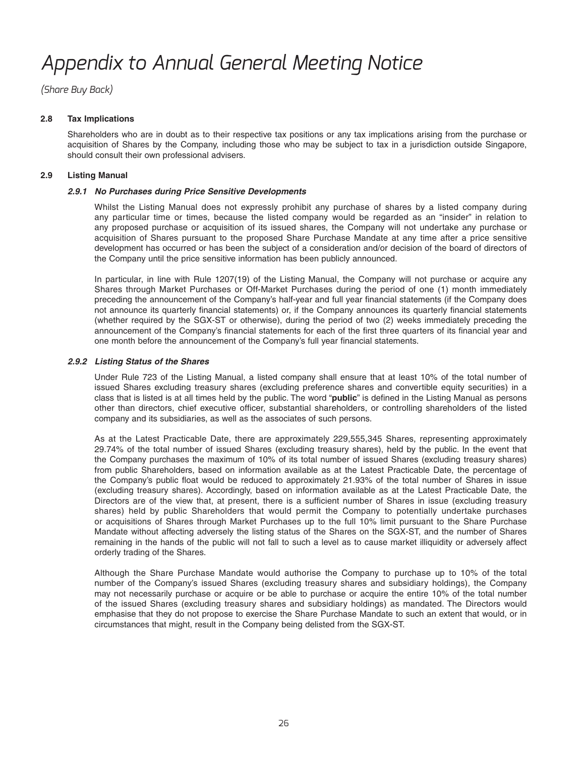*(Share Buy Back)*

### **2.8 Tax Implications**

 Shareholders who are in doubt as to their respective tax positions or any tax implications arising from the purchase or acquisition of Shares by the Company, including those who may be subject to tax in a jurisdiction outside Singapore, should consult their own professional advisers.

### **2.9 Listing Manual**

### *2.9.1 No Purchases during Price Sensitive Developments*

 Whilst the Listing Manual does not expressly prohibit any purchase of shares by a listed company during any particular time or times, because the listed company would be regarded as an "insider" in relation to any proposed purchase or acquisition of its issued shares, the Company will not undertake any purchase or acquisition of Shares pursuant to the proposed Share Purchase Mandate at any time after a price sensitive development has occurred or has been the subject of a consideration and/or decision of the board of directors of the Company until the price sensitive information has been publicly announced.

 In particular, in line with Rule 1207(19) of the Listing Manual, the Company will not purchase or acquire any Shares through Market Purchases or Off-Market Purchases during the period of one (1) month immediately preceding the announcement of the Company's half-year and full year financial statements (if the Company does not announce its quarterly financial statements) or, if the Company announces its quarterly financial statements (whether required by the SGX-ST or otherwise), during the period of two (2) weeks immediately preceding the announcement of the Company's financial statements for each of the first three quarters of its financial year and one month before the announcement of the Company's full year financial statements.

### *2.9.2 Listing Status of the Shares*

 Under Rule 723 of the Listing Manual, a listed company shall ensure that at least 10% of the total number of issued Shares excluding treasury shares (excluding preference shares and convertible equity securities) in a class that is listed is at all times held by the public. The word "public" is defined in the Listing Manual as persons other than directors, chief executive officer, substantial shareholders, or controlling shareholders of the listed company and its subsidiaries, as well as the associates of such persons.

As at the Latest Practicable Date, there are approximately 229,555,345 Shares, representing approximately 29.74 % of the total number of issued Shares (excluding treasury shares), held by the public. In the event that the Company purchases the maximum of 10% of its total number of issued Shares (excluding treasury shares) from public Shareholders, based on information available as at the Latest Practicable Date, the percentage of the Company's public float would be reduced to approximately 21.93% of the total number of Shares in issue (excluding treasury shares). Accordingly, based on information available as at the Latest Practicable Date, the Directors are of the view that, at present, there is a sufficient number of Shares in issue (excluding treasury shares) held by public Shareholders that would permit the Company to potentially undertake purchases or acquisitions of Shares through Market Purchases up to the full 10% limit pursuant to the Share Purchase Mandate without affecting adversely the listing status of the Shares on the SGX-ST, and the number of Shares remaining in the hands of the public will not fall to such a level as to cause market illiquidity or adversely affect orderly trading of the Shares.

 Although the Share Purchase Mandate would authorise the Company to purchase up to 10% of the total number of the Company's issued Shares (excluding treasury shares and subsidiary holdings), the Company may not necessarily purchase or acquire or be able to purchase or acquire the entire 10% of the total number of the issued Shares (excluding treasury shares and subsidiary holdings) as mandated. The Directors would emphasise that they do not propose to exercise the Share Purchase Mandate to such an extent that would, or in circumstances that might, result in the Company being delisted from the SGX-ST.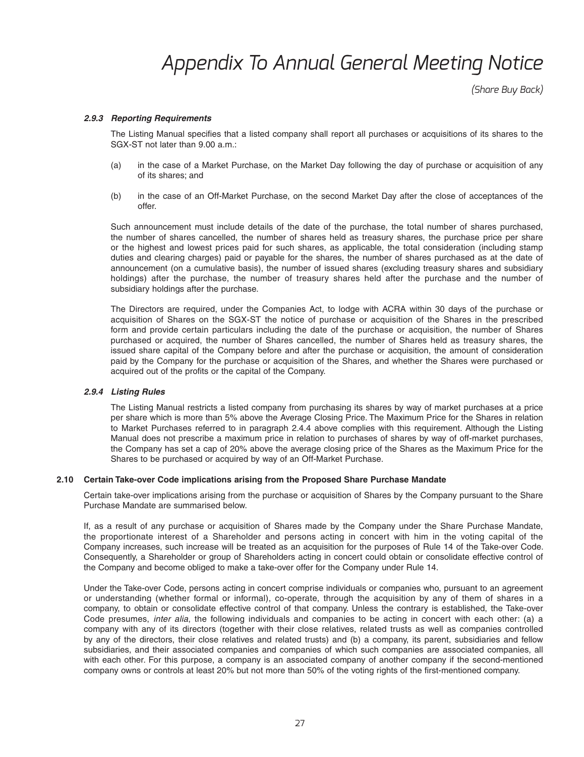*(Share Buy Back)*

#### *2.9.3 Reporting Requirements*

The Listing Manual specifies that a listed company shall report all purchases or acquisitions of its shares to the SGX-ST not later than 9.00 a.m.:

- (a) in the case of a Market Purchase, on the Market Day following the day of purchase or acquisition of any of its shares; and
- (b) in the case of an Off-Market Purchase, on the second Market Day after the close of acceptances of the offer.

 Such announcement must include details of the date of the purchase, the total number of shares purchased, the number of shares cancelled, the number of shares held as treasury shares, the purchase price per share or the highest and lowest prices paid for such shares, as applicable, the total consideration (including stamp duties and clearing charges) paid or payable for the shares, the number of shares purchased as at the date of announcement (on a cumulative basis), the number of issued shares (excluding treasury shares and subsidiary holdings) after the purchase, the number of treasury shares held after the purchase and the number of subsidiary holdings after the purchase.

 The Directors are required, under the Companies Act, to lodge with ACRA within 30 days of the purchase or acquisition of Shares on the SGX-ST the notice of purchase or acquisition of the Shares in the prescribed form and provide certain particulars including the date of the purchase or acquisition, the number of Shares purchased or acquired, the number of Shares cancelled, the number of Shares held as treasury shares, the issued share capital of the Company before and after the purchase or acquisition, the amount of consideration paid by the Company for the purchase or acquisition of the Shares, and whether the Shares were purchased or acquired out of the profits or the capital of the Company.

#### *2.9.4 Listing Rules*

 The Listing Manual restricts a listed company from purchasing its shares by way of market purchases at a price per share which is more than 5% above the Average Closing Price. The Maximum Price for the Shares in relation to Market Purchases referred to in paragraph 2.4.4 above complies with this requirement. Although the Listing Manual does not prescribe a maximum price in relation to purchases of shares by way of off-market purchases, the Company has set a cap of 20% above the average closing price of the Shares as the Maximum Price for the Shares to be purchased or acquired by way of an Off-Market Purchase.

#### **2.10 Certain Take-over Code implications arising from the Proposed Share Purchase Mandate**

 Certain take-over implications arising from the purchase or acquisition of Shares by the Company pursuant to the Share Purchase Mandate are summarised below.

 If, as a result of any purchase or acquisition of Shares made by the Company under the Share Purchase Mandate, the proportionate interest of a Shareholder and persons acting in concert with him in the voting capital of the Company increases, such increase will be treated as an acquisition for the purposes of Rule 14 of the Take-over Code. Consequently, a Shareholder or group of Shareholders acting in concert could obtain or consolidate effective control of the Company and become obliged to make a take-over offer for the Company under Rule 14.

 Under the Take-over Code, persons acting in concert comprise individuals or companies who, pursuant to an agreement or understanding (whether formal or informal), co-operate, through the acquisition by any of them of shares in a company, to obtain or consolidate effective control of that company. Unless the contrary is established, the Take-over Code presumes, *inter alia*, the following individuals and companies to be acting in concert with each other: (a) a company with any of its directors (together with their close relatives, related trusts as well as companies controlled by any of the directors, their close relatives and related trusts) and (b) a company, its parent, subsidiaries and fellow subsidiaries, and their associated companies and companies of which such companies are associated companies, all with each other. For this purpose, a company is an associated company of another company if the second-mentioned company owns or controls at least 20% but not more than 50% of the voting rights of the first-mentioned company.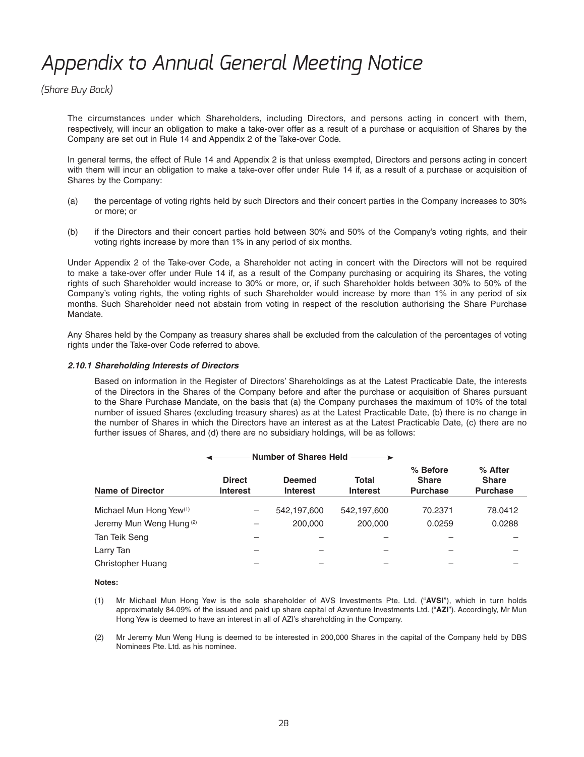*(Share Buy Back)*

 The circumstances under which Shareholders, including Directors, and persons acting in concert with them, respectively, will incur an obligation to make a take-over offer as a result of a purchase or acquisition of Shares by the Company are set out in Rule 14 and Appendix 2 of the Take-over Code.

 In general terms, the effect of Rule 14 and Appendix 2 is that unless exempted, Directors and persons acting in concert with them will incur an obligation to make a take-over offer under Rule 14 if, as a result of a purchase or acquisition of Shares by the Company:

- (a) the percentage of voting rights held by such Directors and their concert parties in the Company increases to 30% or more; or
- (b) if the Directors and their concert parties hold between 30% and 50% of the Company's voting rights, and their voting rights increase by more than 1% in any period of six months.

 Under Appendix 2 of the Take-over Code, a Shareholder not acting in concert with the Directors will not be required to make a take-over offer under Rule 14 if, as a result of the Company purchasing or acquiring its Shares, the voting rights of such Shareholder would increase to 30% or more, or, if such Shareholder holds between 30% to 50% of the Company's voting rights, the voting rights of such Shareholder would increase by more than 1% in any period of six months. Such Shareholder need not abstain from voting in respect of the resolution authorising the Share Purchase Mandate.

 Any Shares held by the Company as treasury shares shall be excluded from the calculation of the percentages of voting rights under the Take-over Code referred to above.

### *2.10.1 Shareholding Interests of Directors*

 Based on information in the Register of Directors' Shareholdings as at the Latest Practicable Date, the interests of the Directors in the Shares of the Company before and after the purchase or acquisition of Shares pursuant to the Share Purchase Mandate, on the basis that (a) the Company purchases the maximum of 10% of the total number of issued Shares (excluding treasury shares) as at the Latest Practicable Date, (b) there is no change in the number of Shares in which the Directors have an interest as at the Latest Practicable Date, (c) there are no further issues of Shares, and (d) there are no subsidiary holdings, will be as follows:

| Number of Shares Held               |                                  |                                  |                          |                                             |                                            |  |
|-------------------------------------|----------------------------------|----------------------------------|--------------------------|---------------------------------------------|--------------------------------------------|--|
| <b>Name of Director</b>             | <b>Direct</b><br><b>Interest</b> | <b>Deemed</b><br><b>Interest</b> | Total<br><b>Interest</b> | % Before<br><b>Share</b><br><b>Purchase</b> | % After<br><b>Share</b><br><b>Purchase</b> |  |
| Michael Mun Hong Yew <sup>(1)</sup> | —                                | 542,197,600                      | 542,197,600              | 70.2371                                     | 78.0412                                    |  |
| Jeremy Mun Weng Hung <sup>(2)</sup> | —                                | 200,000                          | 200,000                  | 0.0259                                      | 0.0288                                     |  |
| Tan Teik Seng                       |                                  |                                  |                          |                                             |                                            |  |
| Larry Tan                           |                                  |                                  |                          |                                             |                                            |  |
| Christopher Huang                   |                                  |                                  |                          |                                             |                                            |  |

#### **Notes:**

- (1) Mr Michael Mun Hong Yew is the sole shareholder of AVS Investments Pte. Ltd. ("**AVSI**"), which in turn holds approximately 84.09% of the issued and paid up share capital of Azventure Investments Ltd. ("**AZ I**"). Accordingly, Mr Mun Hong Yew is deemed to have an interest in all of AZI's shareholding in the Company.
- (2) Mr Jeremy Mun Weng Hung is deemed to be interested in 200,000 Shares in the capital of the Company held by DBS Nominees Pte. Ltd. as his nominee.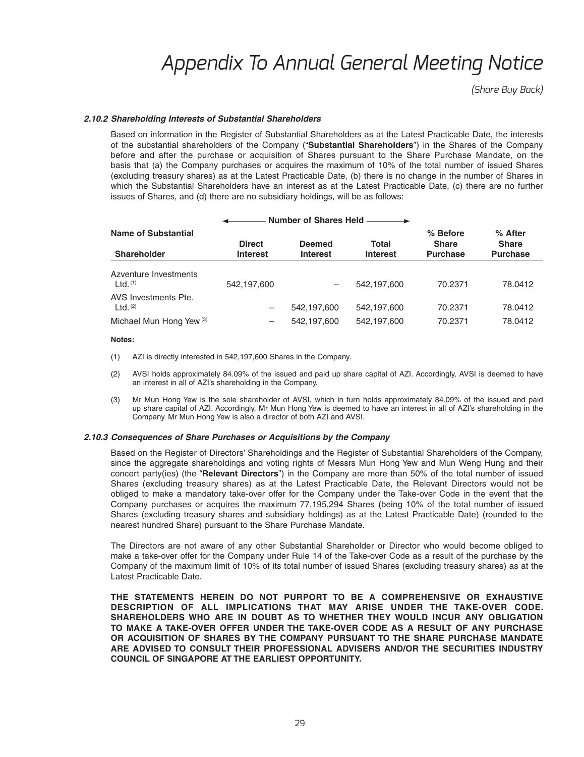*(Share Buy Back)*

#### *2.10.2 Shareholding Interests of Substantial Shareholders*

Based on information in the Register of Substantial Shareholders as at the Latest Practicable Date, the interests of the substantial shareholders of the Company ("**Substantial Shareholders**") in the Shares of the Company before and after the purchase or acquisition of Shares pursuant to the Share Purchase Mandate, on the basis that (a) the Company purchases or acquires the maximum of 10% of the total number of issued Shares (excluding treasury shares) as at the Latest Practicable Date, (b) there is no change in the number of Shares in which the Substantial Shareholders have an interest as at the Latest Practicable Date, (c) there are no further issues of Shares, and (d) there are no subsidiary holdings, will be as follows:

| Number of Shares Held                                                       |                                  |                                  |                            |                                             |                                              |  |  |
|-----------------------------------------------------------------------------|----------------------------------|----------------------------------|----------------------------|---------------------------------------------|----------------------------------------------|--|--|
| <b>Name of Substantial</b><br><b>Shareholder</b>                            | <b>Direct</b><br><b>Interest</b> | <b>Deemed</b><br><b>Interest</b> | Total<br><b>Interest</b>   | % Before<br><b>Share</b><br><b>Purchase</b> | $%$ After<br><b>Share</b><br><b>Purchase</b> |  |  |
| Azventure Investments<br>$Ltd.$ <sup>(1)</sup>                              | 542,197,600                      |                                  | 542.197.600                | 70.2371                                     | 78.0412                                      |  |  |
| AVS Investments Pte.<br>$Ltd.$ $(2)$<br>Michael Mun Hong Yew <sup>(3)</sup> | —<br>$\overline{\phantom{m}}$    | 542,197,600<br>542,197,600       | 542,197,600<br>542,197,600 | 70.2371<br>70.2371                          | 78.0412<br>78.0412                           |  |  |

#### **Notes:**

- (1) AZI is directly interested in 542,197,600 Shares in the Company.
- (2) AVSI holds approximately 84.09% of the issued and paid up share capital of AZI. Accordingly, AVSI is deemed to have an interest in all of AZI's shareholding in the Company.
- (3) Mr Mun Hong Yew is the sole shareholder of AVSI, which in turn holds approximately 84.09% of the issued and paid up share capital of AZI. Accordingly, Mr Mun Hong Yew is deemed to have an interest in all of AZI's shareholding in the Company. Mr Mun Hong Yew is also a director of both AZI and AVSI.

#### *2.10.3 Consequences of Share Purchases or Acquisitions by the Company*

 Based on the Register of Directors' Shareholdings and the Register of Substantial Shareholders of the Company, since the aggregate shareholdings and voting rights of Messrs Mun Hong Yew and Mun Weng Hung and their concert party(ies) (the "**Relevant Directors**") in the Company are more than 50% of the total number of issued Shares (excluding treasury shares) as at the Latest Practicable Date, the Relevant Directors would not be obliged to make a mandatory take-over offer for the Company under the Take-over Code in the event that the Company purchases or acquires the maximum 77,195,294 Shares (being 10% of the total number of issued Shares (excluding treasury shares and subsidiary holdings) as at the Latest Practicable Date) (rounded to the nearest hundred Share) pursuant to the Share Purchase Mandate.

 The Directors are not aware of any other Substantial Shareholder or Director who would become obliged to make a take-over offer for the Company under Rule 14 of the Take-over Code as a result of the purchase by the Company of the maximum limit of 10% of its total number of issued Shares (excluding treasury shares) as at the Latest Practicable Date.

 **THE STATEMENTS HEREIN DO NOT PURPORT TO BE A COMPREHENSIVE OR EXHAUSTIVE DESCRIPTION OF ALL IMPLICATIONS THAT MAY ARISE UNDER THE TAKE-OVER CODE. SHAREHOLDERS WHO ARE IN DOUBT AS TO WHETHER THEY WOULD INCUR ANY OBLIGATION TO MAKE A TAKE-OVER OFFER UNDER THE TAKE-OVER CODE AS A RESULT OF ANY PURCHASE OR ACQUISITION OF SHARES BY THE COMPANY PURSUANT TO THE SHARE PURCHASE MANDATE ARE ADVISED TO CONSULT THEIR PROFESSIONAL ADVISERS AND/OR THE SECURITIES INDUSTRY COUNCIL OF SINGAPORE AT THE EARLIEST OPPORTUNITY.**